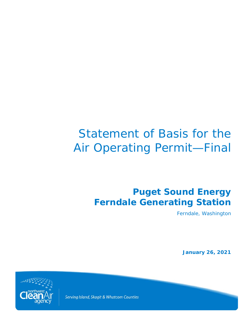# Statement of Basis for the Air Operating Permit—Final

# **Puget Sound Energy Ferndale Generating Station**

Ferndale, Washington

**January 26, 2021**



Serving Island, Skagit & Whatcom Counties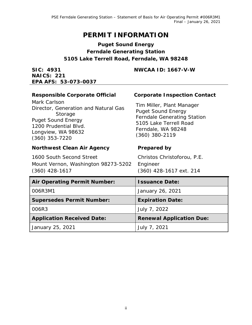# **PERMIT INFORMATION**

# **Puget Sound Energy Ferndale Generating Station 5105 Lake Terrell Road, Ferndale, WA 98248**

**SIC: 4931** 

**NWCAA ID: 1667-V-W**

| <b>NAICS: 221</b><br>EPA AFS: 53-073-0037                                                                                                                       |                                                                                                                                                                  |
|-----------------------------------------------------------------------------------------------------------------------------------------------------------------|------------------------------------------------------------------------------------------------------------------------------------------------------------------|
| <b>Responsible Corporate Official</b>                                                                                                                           | <b>Corporate Inspection Contact</b>                                                                                                                              |
| Mark Carlson<br>Director, Generation and Natural Gas<br>Storage<br><b>Puget Sound Energy</b><br>1200 Prudential Blvd.<br>Longview, WA 98632<br>$(360)$ 353-7220 | Tim Miller, Plant Manager<br><b>Puget Sound Energy</b><br><b>Ferndale Generating Station</b><br>5105 Lake Terrell Road<br>Ferndale, WA 98248<br>$(360)$ 380-2119 |
| <b>Northwest Clean Air Agency</b>                                                                                                                               | <b>Prepared by</b>                                                                                                                                               |
| 1600 South Second Street<br>Mount Vernon, Washington 98273-5202<br>$(360)$ 428-1617                                                                             | Christos Christoforou, P.E.<br>Engineer<br>(360) 428-1617 ext. 214                                                                                               |
| <b>Air Operating Permit Number:</b>                                                                                                                             | <b>Issuance Date:</b>                                                                                                                                            |
| 006R3M1                                                                                                                                                         | January 26, 2021                                                                                                                                                 |
| <b>Supersedes Permit Number:</b>                                                                                                                                | <b>Expiration Date:</b>                                                                                                                                          |
| 006R3                                                                                                                                                           | July 7, 2022                                                                                                                                                     |
| <b>Application Received Date:</b>                                                                                                                               | <b>Renewal Application Due:</b>                                                                                                                                  |
| January 25, 2021                                                                                                                                                | July 7, 2021                                                                                                                                                     |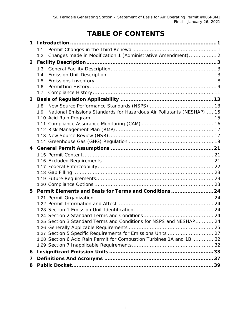# **TABLE OF CONTENTS**

| 1.1<br>Changes made in Modification 1 (Administrative Amendment) 2<br>1.2<br>$\overline{2}$ |  |
|---------------------------------------------------------------------------------------------|--|
|                                                                                             |  |
|                                                                                             |  |
|                                                                                             |  |
| 1.3                                                                                         |  |
| 1.4                                                                                         |  |
| 1.5                                                                                         |  |
| 1.6                                                                                         |  |
| 1.7                                                                                         |  |
| 3                                                                                           |  |
| 1.8                                                                                         |  |
| National Emissions Standards for Hazardous Air Pollutants (NESHAP) 15<br>1.9                |  |
|                                                                                             |  |
|                                                                                             |  |
|                                                                                             |  |
|                                                                                             |  |
|                                                                                             |  |
| 4                                                                                           |  |
|                                                                                             |  |
|                                                                                             |  |
|                                                                                             |  |
|                                                                                             |  |
|                                                                                             |  |
|                                                                                             |  |
| Permit Elements and Basis for Terms and Conditions24<br>5                                   |  |
|                                                                                             |  |
|                                                                                             |  |
|                                                                                             |  |
| 1.25 Section 3 Standard Terms and Conditions for NSPS and NESHAP 24                         |  |
|                                                                                             |  |
| 1.27 Section 5 Specific Requirements for Emissions Units  27                                |  |
| 1.28 Section 6 Acid Rain Permit for Combustion Turbines 1A and 1B  32                       |  |
|                                                                                             |  |
| 6                                                                                           |  |
| 7                                                                                           |  |
| 8                                                                                           |  |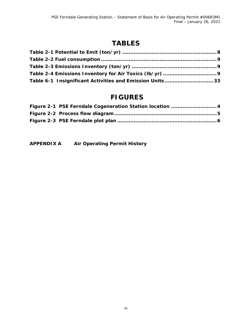# **TABLES**

| Table 6-1 Insignificant Activities and Emission Units33 |  |
|---------------------------------------------------------|--|

# **FIGURES**

| Figure 2-1 PSE Ferndale Cogeneration Station location  4 |
|----------------------------------------------------------|
|                                                          |
|                                                          |

**APPENDIX A Air Operating Permit History**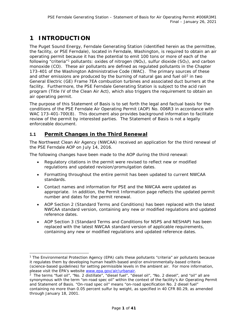# **1 INTRODUCTION**

The Puget Sound Energy, Ferndale Generating Station (identified herein as the permittee, the facility, or PSE Ferndale), located in Ferndale, Washington, is required to obtain an air operating permit because it has the potential to emit 100 tons or more of each of the following "criteria"<sup>[1](#page-4-0)</sup> pollutants: oxides of nitrogen (NO<sub>x</sub>), sulfur dioxide (SO<sub>2</sub>), and carbon monoxide (CO). These air pollutants are defined as regulated pollutants in the Chapter 173-401 of the Washington Administrative Code (WAC). The primary sources of these and other emissions are produced by the burning of natural gas and fuel oil $2$  in two General Electric (GE) Frame 7EA combustion turbines and associated duct burners at the facility. Furthermore, the PSE Ferndale Generating Station is subject to the acid rain program (Title IV of the Clean Air Act), which also triggers the requirement to obtain an air operating permit.

The purpose of this Statement of Basis is to set forth the legal and factual basis for the conditions of the PSE Ferndale Air Operating Permit (AOP) No. 006R3 in accordance with WAC 173-401-700(8). This document also provides background information to facilitate review of the permit by interested parties. The Statement of Basis is not a legally enforceable document.

# **1.1 Permit Changes in the Third Renewal**

The Northwest Clean Air Agency (NWCAA) received an application for the third renewal of the PSE Ferndale AOP on July 14, 2016.

The following changes have been made to the AOP during the third renewal:

- Regulatory citations in the permit were revised to reflect new or modified regulations and updated revision/promulgation dates.
- Formatting throughout the entire permit has been updated to current NWCAA standards.
- Contact names and information for PSE and the NWCAA were updated as appropriate. In addition, the Permit Information page reflects the updated permit number and dates for the permit renewal.
- AOP Section 2 (Standard Terms and Conditions) has been replaced with the latest NWCAA standard version, containing any new or modified regulations and updated reference dates.
- AOP Section 3 (Standard Terms and Conditions for NSPS and NESHAP) has been replaced with the latest NWCAA standard version of applicable requirements, containing any new or modified regulations and updated reference dates.

<span id="page-4-0"></span> <sup>1</sup> The Environmental Protection Agency (EPA) calls these pollutants "criteria" air pollutants because it regulates them by developing human health-based and/or environmentally-based criteria (science-based guidelines) for setting permissible levels in the ambient air. For more information, please visit the EPA's website [www.epa.gov/air/urbanair.](http://www.epa.gov/air/urbanair)<br><sup>2</sup> The terms "fuel oil", "No. 2 distillate", "diesel fuel", "diesel oil", "No. 2 diesel", and "oil" all are

<span id="page-4-1"></span>synonymous with the term "on-road spec oil" within the context of the facility's Air Operating Permit and Statement of Basis. "On-road spec oil" means "on-road specification No. 2 diesel fuel" containing no more than 0.05 percent sulfur by weight, as specified in 40 CFR 80.29, as amended through January 18, 2001.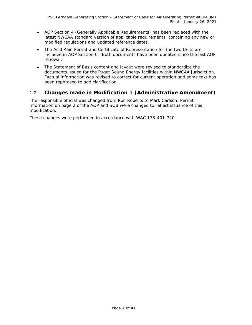- AOP Section 4 (Generally Applicable Requirements) has been replaced with the latest NWCAA standard version of applicable requirements, containing any new or modified regulations and updated reference dates.
- The Acid Rain Permit and Certificate of Representation for the two Units are included in AOP Section 6. Both documents have been updated since the last AOP renewal.
- The Statement of Basis content and layout were revised to standardize the documents issued for the Puget Sound Energy facilities within NWCAA jurisdiction. Factual information was revised to correct for current operation and some text has been rephrased to add clarification.

# **1.2 Changes made in Modification 1 (Administrative Amendment)**

The responsible official was changed from Ron Roberts to Mark Carlson. Permit information on page 2 of the AOP and SOB were changed to reflect issuance of this modification.

These changes were performed in accordance with WAC 173-401-720.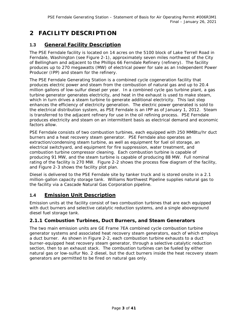# **2 FACILITY DESCRIPTION**

# **1.3 General Facility Description**

The PSE Ferndale facility is located on 14 acres on the 5100 block of Lake Terrell Road in Ferndale, Washington (see [Figure 2-1\)](#page-7-0), approximately seven miles northwest of the City of Bellingham and adjacent to the Phillips 66 Ferndale Refinery (refinery). The facility produces up to 270 megawatts (MW) of electrical power for sale as an Independent Power Producer (IPP) and steam for the refinery.

The PSE Ferndale Generating Station is a combined cycle cogeneration facility that produces electric power and steam from the combustion of natural gas and up to 20.4 million gallons of low-sulfur diesel per year. In a combined cycle gas turbine plant, a gas turbine generator generates electricity, and heat in the exhaust is used to make steam, which in turn drives a steam turbine to generate additional electricity. This last step enhances the efficiency of electricity generation. The electric power generated is sold to the electrical distribution system, as PSE Ferndale is an IPP as of January 1, 2012. Steam is transferred to the adjacent refinery for use in the oil refining process. PSE Ferndale produces electricity and steam on an intermittent basis as electrical demand and economic factors allow*.*

PSE Ferndale consists of two combustion turbines, each equipped with 250 MMBtu/hr duct burners and a heat recovery steam generator. PSE Ferndale also operates an extraction/condensing steam turbine, as well as equipment for fuel oil storage, an electrical switchyard, and equipment for fire suppression, water treatment, and combustion turbine compressor cleaning. Each combustion turbine is capable of producing 91 MW, and the steam turbine is capable of producing 88 MW. Full nominal rating of the facility is 270 MW. [Figure 2-2](#page-8-0) shows the process flow diagram of the facility, and Figure 2-3 shows the facility plot plan.

Diesel is delivered to the PSE Ferndale site by tanker truck and is stored onsite in a 2.1 million-gallon capacity storage tank. Williams Northwest Pipeline supplies natural gas to the facility via a Cascade Natural Gas Corporation pipeline.

# **1.4 Emission Unit Description**

Emission units at the facility consist of two combustion turbines that are each equipped with duct burners and selective catalytic reduction systems, and a single aboveground diesel fuel storage tank.

#### <span id="page-6-0"></span>**2.1.1 Combustion Turbines, Duct Burners, and Steam Generators**

The two main emission units are GE Frame 7EA combined cycle combustion turbine generator systems and associated heat recovery steam generators, each of which employs a duct burner. As shown in [Figure 2-2,](#page-8-0) each combustion turbine exhausts to a duct burner-equipped heat recovery steam generator, through a selective catalytic reduction section, then to an exhaust stack. The combustion turbines can be fueled by either natural gas or low-sulfur No. 2 diesel, but the duct burners inside the heat recovery steam generators are permitted to be fired on natural gas only.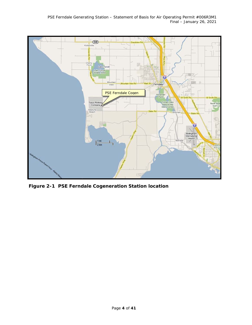

<span id="page-7-0"></span>**Figure 2-1 PSE Ferndale Cogeneration Station location**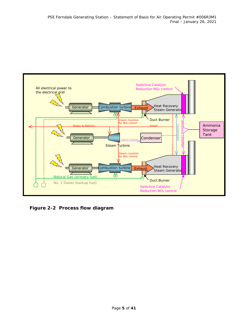

<span id="page-8-0"></span>**Figure 2-2 Process flow diagram**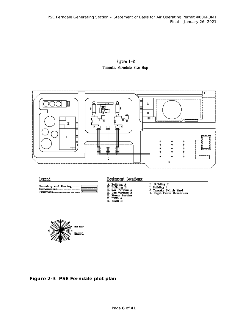Figure  $1-2$ Tenaska Ferndale Site Map





**Figure 2-3 PSE Ferndale plot plan**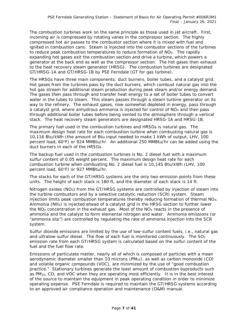The combustion turbines work on the same principle as those used in jet aircraft. First, incoming air is compressed by rotating vanes in the compressor section. The highly compressed hot air passes to the combustor section where it is mixed with fuel and ignited in combustion cans. Steam is injected into the combustor sections of the turbines to reduce peak combustion temperatures to reduce formation of  $NO<sub>X</sub>$ . The rapidly expanding hot gases exit the combustion section and drive a turbine, which powers a generator at the back end as well as the compressor section. The hot gases then exhaust to the heat recovery steam generator (HRSG). The combustion turbines are designated GT/HRSG-1A and GT/HRSG-1B by PSE Ferndale (GT for gas turbine).

The HRSGs have three main components: duct burners, boiler tubes, and a catalyst grid. Hot gases from the turbines pass by the duct burners, which combust natural gas into the hot gas stream for additional steam production during peak steam and/or energy demand. The gases then pass through and transfer heat energy to a set of boiler tubes to convert water in the tubes to steam. This steam passes through a steam turbine generator on its way to the refinery. The exhaust gases, now somewhat depleted in energy, pass through a catalyst grid, where anhydrous ammonia is injected for control of  $NO<sub>X</sub>$  and then pass through additional boiler tubes before being vented to the atmosphere through a vertical stack. The heat recovery steam generators are designated HRSG-1A and HRSG-1B.

The primary fuel used in the combustion turbines and HRSGs is natural gas. The maximum design heat rate for each combustion turbine when combusting natural gas is 10,116 Btu/kWh (the amount of Btu input needed to make 1 kWh of output, LHV, 100 percent load, 60°F) or 924 MMBtu/hr. An additional 250 MMBtu/hr can be added using the duct burners in each of the HRSGs.

The backup fuel used in the combustion turbines is No. 2 diesel fuel with a maximum sulfur content of 0.05 weight percent. The maximum design heat rate for each combustion turbine when combusting No. 2 diesel fuel is 10,145 Btu/kWh (LHV, 100 percent load, 60°F) or 927 MMBtu/hr.

The stacks for each of the GT/HRSG systems are the only two emission points from these units. The height of each stack is 180 ft, and the diameter of each stack is 14 ft.

Nitrogen oxides  $(NO<sub>x</sub>)$  from the GT/HRSG systems are controlled by injection of steam into the turbine combustors and by a selective catalytic reduction (SCR) system. Steam injection limits peak combustion temperatures thereby reducing formation of thermal NO<sub>x</sub>. Ammonia (NH3) is injected ahead of a catalyst grid in the HRSG section to further lower the  $NO<sub>X</sub>$  concentration in the exhaust gas. Most of the  $NO<sub>X</sub>$  reacts in the presence of ammonia and the catalyst to form elemental nitrogen and water. Ammonia emissions (or "ammonia slip") are controlled by regulating the rate of ammonia injection into the SCR system.

Sulfur dioxide emissions are limited by the use of low-sulfur content fuels, i.e., natural gas and ultralow-sulfur diesel. The flow of each fuel is monitored continuously. The  $SO<sub>2</sub>$ emission rate from each GT/HRSG system is calculated based on the sulfur content of the fuel and the fuel flow rate.

Emissions of particulate matter, nearly all of which is composed of particles with a mean aerodynamic diameter smaller than 10 microns  $(PM_{10})$ , as well as carbon monoxide  $(CO)$ and volatile organic compounds (VOC), are minimized by the use of "good combustion practice." Stationary turbines generate the least amount of combustion byproducts such as PM10, CO, and VOC when they are operating most efficiently. It is in the best interest of the source to maintain the equipment in peak operating condition in order to minimize operating expense. PSE Ferndale is required to maintain the GT/HRSG systems according to an approved air compliance operation and maintenance (O&M) manual.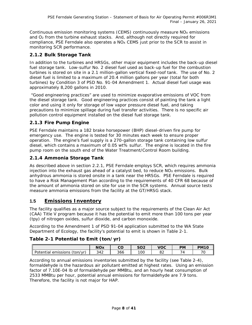Continuous emission monitoring systems (CEMS) continuously measure  $NO<sub>X</sub>$  emissions and O2 from the turbine exhaust stacks. And, although not directly required for compliance, PSE Ferndale also operates a NO<sub>x</sub> CEMS just prior to the SCR to assist in monitoring SCR performance.

## **2.1.2 Bulk Storage Tank**

In addition to the turbines and HRSGs, other major equipment includes the back-up diesel fuel storage tank. Low-sulfur No. 2 diesel fuel used as back-up fuel for the combustion turbines is stored on site in a 2.1 million-gallon vertical fixed-roof tank. The use of No. 2 diesel fuel is limited to a maximum of 20.4 million gallons per year (total for both turbines) by Condition 3 of PSD No. 91-04 Amendment 1. Actual diesel fuel usage was approximately 8,200 gallons in 2010.

"Good engineering practices" are used to minimize evaporative emissions of VOC from the diesel storage tank. Good engineering practices consist of painting the tank a light color and using it only for storage of low vapor pressure diesel fuel, and taking precautions to minimize spillage during fuel transfer activities. There is no specific air pollution control equipment installed on the diesel fuel storage tank.

## **2.1.3 Fire Pump Engine**

PSE Ferndale maintains a 182 brake horsepower (BHP) diesel-driven fire pump for emergency use. The engine is tested for 30 minutes each week to ensure proper operation. The engine's fuel supply is a 270-gallon storage tank containing low sulfur diesel, which contains a maximum of 0.05 wt% sulfur. The engine is located in the fire pump room on the south end of the Water Treatment/Control Room building.

# **2.1.4 Ammonia Storage Tank**

As described above in section [2.2.1,](#page-6-0) PSE Ferndale employs SCR, which requires ammonia injection into the exhaust gas ahead of a catalyst bed, to reduce  $NO<sub>X</sub>$  emissions. Bulk anhydrous ammonia is stored onsite in a tank near the HRSGs. PSE Ferndale is required to have a Risk Management Plan according to the requirements of 40 CFR 68 because of the amount of ammonia stored on site for use in the SCR systems. Annual source tests measure ammonia emissions from the facility at the GT/HRSG stack.

# **1.5 Emissions Inventory**

The facility qualifies as a major source subject to the requirements of the Clean Air Act (CAA) Title V program because it has the potential to emit more than 100 tons per year (tpy) of nitrogen oxides, sulfur dioxide, and carbon monoxide.

According to the Amendment 1 of PSD 91-04 application submitted to the WA State Department of Ecology, the facility's potential to emit is shown in Table 2-1.

# **Table 2-1 Potential to Emit (ton/yr)**

|                                  | <b>NOx</b> | <b>00</b> | cog | <b>VOC</b> | PМ | <b>PM10</b> |
|----------------------------------|------------|-----------|-----|------------|----|-------------|
| Potential<br>emissions<br>ton/vr | 342        | 366       | 10C |            |    | 70          |

According to annual emissions inventories submitted by the facility (see Table 2-4), formaldehyde is the hazardous air pollutant emitted at highest rates. Using an emission factor of 7.10E-04 lb of formaldehyde per MMBtu, and an hourly heat consumption of 2533 MMBtu per hour, potential annual emissions for formaldehyde are 7.9 tons. Therefore, the facility is not major for HAP.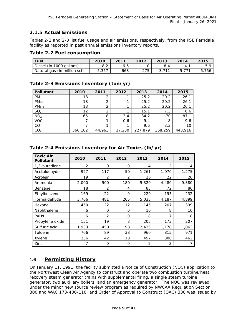# **2.1.5 Actual Emissions**

Tables 2-2 and 2-3 list fuel usage and air emissions, respectively, from the PSE Ferndale facility as reported in past annual emissions inventory reports.

#### **Table 2-2 Fuel consumption**

| l Fuel                       | 2010  | 2011 | 2012 | 2013 | 2014 | 2015 |
|------------------------------|-------|------|------|------|------|------|
| Diesel (in 1000 gallons)     | o.z   | o.o  |      | 8.4  | 4.,  |      |
| Natural gas (in million scf) | 5,357 | 668  | 275  |      |      | 756  |

## **Table 2-3 Emissions Inventory (ton/yr)**

| <b>Pollutant</b>  | 2010    | 2011   | 2012   | 2013    | 2014    | 2015    |
|-------------------|---------|--------|--------|---------|---------|---------|
| <b>PM</b>         | 18      |        |        | 25.2    | 20.2    | 26.1    |
| $PM_{10}$         | 18      |        |        | 25.2    | 20.2    | 26.1    |
| PM <sub>2.5</sub> | 18      |        |        | 25.2    | 20.2    | 26.1    |
| SO <sub>2</sub>   | 12      |        |        | 15.1    | 7.3     | 6.6     |
| NO <sub>X</sub>   | 65      | 8      | 3.4    | 84.2    | 70      | 87.1    |
| <b>VOC</b>        |         |        | 0.6    | 9.4     | 8       | 9.6     |
| <b>CO</b>         |         |        |        | 9.6     | 8.3     | 10      |
| CO <sub>2</sub>   | 360,102 | 44,963 | 17,230 | 227,879 | 368,259 | 443,916 |

| <b>Toxic Air</b><br><b>Pollutant</b> | 2010           | 2011           | 2012           | 2013  | 2014           | 2015  |
|--------------------------------------|----------------|----------------|----------------|-------|----------------|-------|
| 1,3-butadiene                        | $\overline{2}$ | $\Omega$       | $\Omega$       | 4     | $\overline{2}$ | 4     |
| Acetaldehyde                         | 927            | 117            | 50             | 1,261 | 1,070          | 1,275 |
| Acrolein                             | 19             | $\overline{2}$ | $\overline{2}$ | 26    | 22             | 26    |
| Ammonia                              | 2,000          | 500            | 180            | 5,320 | 4,480          | 9,380 |
| Benzene                              | 18             | $\overline{2}$ | 4              | 85    | 72             | 86    |
| Ethylbenzene                         | 169            | 22             | 9              | 229   | 195            | 232   |
| Formaldehyde                         | 3,706          | 481            | 205            | 5,033 | 4,187          | 4,899 |
| Hexane                               | 450            | 22             | 12             | 145   | 207            | 399   |
| Naphthalene                          | 6              | 0              | $\Omega$       | 10    | 8              | 10    |
| <b>PAHs</b>                          | 6              | 2              | $\Omega$       | 8     | $\overline{7}$ | 8     |
| Propylene oxide                      | 151            | 19             | 8              | 205   | 173            | 207   |
| Sulfuric acid                        | 1,933          | 450            | 98             | 2,435 | 1,178          | 1,063 |
| Toluene                              | 706            | 89             | 38             | 960   | 815            | 971   |
| Xylene                               | 336            | 42             | 18             | 457   | 388            | 462   |
| Zinc                                 | 7              | 0              | 0              | 2     | 3              |       |

## **Table 2-4 Emissions Inventory for Air Toxics (lb/yr)**

# <span id="page-12-0"></span>**1.6 Permitting History**

On January 11, 1991, the facility submitted a Notice of Construction (NOC) application to the Northwest Clean Air Agency to construct and operate two combustion turbine/heat recovery steam generator trains with supplemental firing, a single steam turbine generator, two auxiliary boilers, and an emergency generator. The NOC was reviewed under the minor new source review program as required by NWCAA Regulation Section 300 and WAC 173-400-110, and Order of Approval to Construct (OAC) 330 was issued by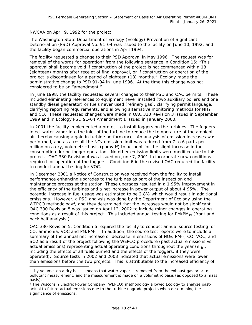NWCAA on April 9, 1992 for the project.

The Washington State Department of Ecology (Ecology) Prevention of Significant Deterioration (PSD) Approval No. 91-04 was issued to the facility on June 10, 1992, and the facility began commercial operations in April 1994.

The facility requested a change to their PSD Approval in May 1996. The request was for removal of the words "or operation" from the following sentence in Condition 15: "This approval shall become void if construction of the project is not commenced within 18 (eighteen) months after receipt of final approval, or if construction or operation of the project is discontinued for a period of eighteen (18) months." Ecology made the administrative change to PSD 91-04 in June 1996. At the time this change was not considered to be an "amendment."

In June 1998, the facility requested several changes to their PSD and OAC permits. These included eliminating references to equipment never installed (two auxiliary boilers and one standby diesel generator) or fuels never used (refinery gas), clarifying permit language, clarifying reporting requirements, and allowing alternative monitoring methods for  $NH<sub>3</sub>$ and CO. These requested changes were made in OAC 330 Revision 3 issued in September 1999 and in Ecology PSD 91-04 Amendment 1 issued in January 2000.

In 2001 the facility implemented a project to install foggers on the turbines. The foggers inject water vapor into the inlet of the turbine to reduce the temperature of the ambient air thereby causing a gain in turbine performance. An analysis of emission increases was performed, and as a result the NO<sub>x</sub> emission limit was reduced from 7 to 6 parts per million on a dry, volumetric basis ( $ppmvd<sup>3</sup>$  $ppmvd<sup>3</sup>$  $ppmvd<sup>3</sup>$ ) to account for the slight increase in fuel consumption during fogger operation. No other emission limits were modified due to this project. OAC 330 Revision 4 was issued on June 7, 2001 to incorporate new conditions required for operation of the foggers. Condition 6 in the revised OAC required the facility to conduct annual testing for VOC.

In December 2001 a Notice of Construction was received from the facility to install performance enhancing upgrades to the turbines as part of the inspection and maintenance process at the station. These upgrades resulted in a 1.95% improvement in the efficiency of the turbines and a net increase in power output of about 4.95%. The potential increase in fuel usage was estimated to be 2.8% which would result in additional emissions. However, a PSD analysis was done by the Department of Ecology using the WEPCO methodology<sup>4</sup>, and they determined that the increases would not be significant. OAC 330 Revision 5 was issued on April 12, 2002 to include minor changes in operating conditions as a result of this project. This included annual testing for PM/PM<sub>10</sub> (front and back half analysis.)

OAC 330 Revision 5, Condition 6 required the facility to conduct annual source testing for CO, ammonia, VOC and PM/PM10. In addition, the source test reports were to include a summary of the annual net increase or decrease in emissions of  $NO<sub>X</sub>$ ,  $PM<sub>10</sub>$ , CO, VOC, and SO2 as a result of the project following the WEPCO procedure (past actual emissions vs. actual emissions) representing actual operating conditions throughout the year (e.g., including the effects of all fuels burned and the effects of the foggers, if they were operated). Source tests in 2002 and 2003 indicated that actual emissions were lower than emissions before the two projects. This is attributable to the increased efficiency of

<span id="page-13-0"></span> $3$  "by volume, on a dry basis" means that water vapor is removed from the exhaust gas prior to pollutant measurement, and the measurement is made on a volumetric basis (as opposed to a mass basis).

<span id="page-13-1"></span><sup>4</sup> The Wisconsin Electric Power Company (WEPCO) methodology allowed Ecology to analyze pastactual to future-actual emissions due to the turbine upgrade projects when determining the significance of emissions.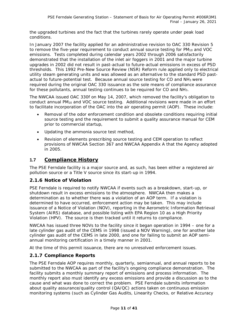the upgraded turbines and the fact that the turbines rarely operate under peak load conditions.

In January 2007 the facility applied for an administrative revision to OAC 330 Revision 5 to remove the five-year requirement to conduct annual source testing for  $PM_{10}$  and VOC emissions. Tests completed during calendar years 2002 through 2006 satisfactorily demonstrated that the installation of the inlet air foggers in 2001 and the major turbine upgrades in 2002 did not result in past-actual to future-actual emissions in excess of PSD thresholds. This 1992 Pre-New Source Review (NSR) Reform rule applied only to electrical utility steam generating units and was allowed as an alternative to the standard PSD pastactual to future-potential test. Because annual source testing for CO and NH3 were required during the original OAC 330 issuance as the sole means of compliance assurance for these pollutants, annual testing continues to be required for CO and NH3.

The NWCAA issued OAC 330f on May 14, 2007, which removed the facility's obligation to conduct annual PM<sub>10</sub> and VOC source testing. Additional revisions were made in an effort to facilitate incorporation of the OAC into the air operating permit (AOP). These include:

- Removal of the odor enforcement condition and obsolete conditions requiring initial source testing and the requirement to submit a quality assurance manual for CEM prior to commercial startup,
- Updating the ammonia source test method,
- Revision of elements prescribing source testing and CEM operation to reflect provisions of NWCAA Section 367 and NWCAA Appendix A that the Agency adopted in 2005.

# **1.7 Compliance History**

The PSE Ferndale facility is a major source and, as such, has been either a registered air pollution source or a Title V source since its start-up in 1994.

#### **2.1.6 Notice of Violation**

PSE Ferndale is required to notify NWCAA if events such as a breakdown, start-up, or shutdown result in excess emissions to the atmosphere. NWCAA then makes a determination as to whether there was a violation of an AOP term. If a violation is determined to have occurred, enforcement action may be taken. This may include issuance of a Notice of Violation (NOV), reporting in the Aerometric Information Retrieval System (AIRS) database, and possible listing with EPA Region 10 as a High Priority Violation (HPV). The source is then tracked until it returns to compliance.

NWCAA has issued three NOVs to the facility since it began operation in 1994 – one for a late cylinder gas audit of the CEMS in 1998 (issued a NOV Warning), one for another late cylinder gas audit of the CEMS in late 2000, and one for failing to submit an AOP semiannual monitoring certification in a timely manner in 2001.

At the time of this permit issuance, there are no unresolved enforcement issues.

## **2.1.7 Compliance Reports**

The PSE Ferndale AOP requires monthly, quarterly, semiannual, and annual reports to be submitted to the NWCAA as part of the facility's ongoing compliance demonstration. The facility submits a monthly summary report of emissions and process information. The monthly report also must identify any excess emissions and provide a discussion as to the cause and what was done to correct the problem. PSE Ferndale submits information about quality assurance/quality control (QA/QC) actions taken on continuous emission monitoring systems (such as Cylinder Gas Audits, Linearity Checks, or Relative Accuracy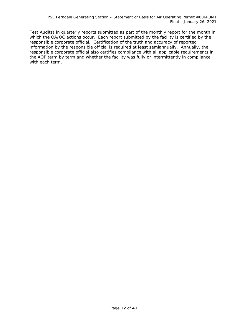Test Audits) in quarterly reports submitted as part of the monthly report for the month in which the QA/QC actions occur. Each report submitted by the facility is certified by the responsible corporate official. Certification of the truth and accuracy of reported information by the responsible official is required at least semiannually. Annually, the responsible corporate official also certifies compliance with all applicable requirements in the AOP term by term and whether the facility was fully or intermittently in compliance with each term.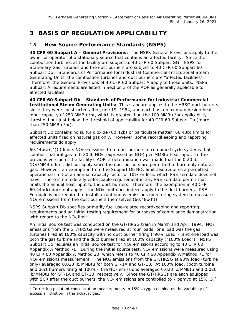# **3 BASIS OF REGULATION APPLICABILITY**

# **1.8 New Source Performance Standards (NSPS)**

**40 CFR 60 Subpart A – General Provisions:** The NSPS General Provisions apply to the owner or operator of a stationary source that contains an affected facility. Since the combustion turbines at the facility are subject to 40 CFR 60 Subpart GG - NSPS for Stationary Gas Turbines and the duct burners are subject to 40 CFR 60 Subpart 60 Subpart Db – Standards of Performance for Industrial-Commercial-Institutional Steam Generating Units, the combustion turbines and duct burners are "affected facilities". Therefore, the General Provisions of 40 CFR 60 Subpart A apply to those units. NSPS Subpart A requirements are listed in Section 3 of the AOP as generally applicable to affected facilities.

**40 CFR 60 Subpart Db – Standards of Performance for Industrial-Commercial-Institutional Steam Generating Units:** This standard applies to the HRSG duct burners since they were constructed after June 19, 1984, and each has a maximum design heat input capacity of 250 MMBtu/hr, which is greater than the 100 MMBtu/hr applicability threshold but just below the threshold of applicability for 40 CFR 60 Subpart Da (more than 250 MMBtu/hr).

Subpart Db contains no sulfur dioxide (60.42b) or particulate matter (60.43b) limits for affected units fired on natural gas only. However, some recordkeeping and reporting requirements do apply.

 $60.44b(a)(4)(i)$  limits NO<sub>X</sub> emissions from duct burners in combined cycle systems that combust natural gas to 0.20 lb  $NO<sub>x</sub>$  (expressed as  $NO<sub>2</sub>$ ) per MMBtu heat input. In the previous version of the facility's AOP, a determination was made that the 0.20 lb NO<sub>x</sub>/MMBtu limit did not apply since the duct burners are permitted to burn only natural gas. However, an exemption from the Subpart Db  $N_{\text{Ox}}$  limit also requires a permitted operational limit of an annual capacity factor of 10% or less, which PSE Ferndale does not have. There is no federally enforceable requirement in any PSE Ferndale permit that limits the annual heat input to the duct burners. Therefore, the exemption in 40 CFR 60.44b(k) does not apply – the NO<sub>x</sub> limit does indeed apply to the duct burners. PSE Ferndale is not required to install a continuous emissions monitoring system to measure  $NO<sub>X</sub>$  emissions from the duct burners themselves  $(60.48b(h))$ .

NSPS Subpart Db specifies primarily fuel use-related recordkeeping and reporting requirements and an initial testing requirement for purposes of compliance demonstration with regard to the NO<sub>x</sub> limit.

An initial source test was conducted on the GT/HRSG train in March and April 1994. NO<sub>x</sub> emissions from the GT/HRSGs were measured at four loads; one load was the gas turbines fired at 100% capacity with no duct burner firing ("90% Load"), and one load was both the gas turbine and the duct burner fired at 100% capacity ("100% Load"). NSPS Subpart Db requires an initial source test for  $NO<sub>x</sub>$  emissions according to 40 CFR 60 Appendix A Method 7E. During the initial source test,  $NO<sub>X</sub>$  emissions were measured using 40 CFR 60 Appendix A Method 20, which refers to 40 CFR 60 Appendix A Method 7E for NO<sub>x</sub> emissions measurement. The NO<sub>x</sub> emissions from the GT/HRSG at 90% load (turbine only) averaged 0.023 lb/MMBtu for both GT-1A and GT-1B. At 100% load, (both turbine and duct burners firing at 100%), the  $NO<sub>x</sub>$  emissions averaged 0.023 lb/MMBtu and 0.020 lb/MMBtu for GT-1A and GT-1B, respectively. Since the GT/HRSGs are each equipped with SCR after the duct burners, the NO<sub>X</sub> emissions are controlled to 7 ppmvd at 1[5](#page-16-0)%  $O_2^5$ 

<span id="page-16-0"></span> <sup>5</sup> Correcting pollutant concentration measurements to 15% oxygen eliminates the variability of excess air dilution in the exhaust gas.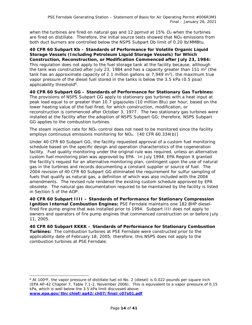when the turbines are fired on natural gas and 12 ppmvd at  $15\%$  O<sub>2</sub> when the turbines are fired on distillate. Therefore, the initial source tests showed that  $NO<sub>x</sub>$  emissions from both duct burners are controlled below the NSPS Subpart Db limit of 0.20 lb/MMBtu.

**40 CFR 60 Subpart Kb – Standards of Performance for Volatile Organic Liquid Storage Vessels (Including Petroleum Liquid Storage Vessels) for Which Construction, Reconstruction, or Modification Commenced after July 23, 1984:** This regulation does not apply to the fuel storage tank at the facility because, although the tank was constructed after July 23, 1984 and has a capacity greater than 151  $m<sup>3</sup>$  (the tank has an approximate capacity of 2.1 million gallons or 7,949  $m<sup>3</sup>$ , the maximum true vapor pressure of the diesel fuel stored in the tanks is below the 3.5 kPa (0.5 psia) applicability threshold<sup>6</sup>.

**40 CFR 60 Subpart GG – Standards of Performance for Stationary Gas Turbines:**  The provisions of NSPS Subpart GG apply to stationary gas turbines with a heat input at peak load equal to or greater than 10.7 gigajoules (10 million Btu) per hour, based on the lower heating value of the fuel fired, for which construction, modification, or reconstruction is commenced after October 3, 1977. The two stationary gas turbines were installed at the facility after the adoption of NSPS Subpart GG; therefore, NSPS Subpart GG applies to the combustion turbines.

The steam injection rate for  $NO<sub>X</sub>$  control does not need to be monitored since the facility employs continuous emissions monitoring for  $NO_{X}$ . [40 CFR 60.334(b)]

Under 40 CFR 60 Subpart GG, the facility requested approval of a custom fuel monitoring schedule based on the specific design and operation characteristics of the cogeneration facility. Fuel quality monitoring under the original rule was required, unless an alternative custom fuel monitoring plan was approved by EPA. In July 1994, EPA Region X granted the facility's request for an alternative monitoring plan, contingent upon the use of natural gas in the turbines and records documenting a constant supplier or source of fuel. The 2004 revision of 40 CFR 60 Subpart GG eliminated the requirement for sulfur sampling of fuels that qualify as natural gas, a definition of which was also included with the 2004 amendments. The revised rule rendered the existing custom schedule approved by EPA obsolete. The natural gas documentation required to be maintained by the facility is listed in Section 5 of the AOP.

**40 CFR 60 Subpart IIII – Standards of Performance for Stationary Compression Ignition Internal Combustion Engines:** PSE Ferndale maintains one 182 BHP dieselfired fire pump engine that was installed prior to 1994. Subpart IIII does not apply to owners and operators of fire pump engines that commenced construction on or before July 11, 2005.

**40 CFR 60 Subpart KKKK – Standards of Performance for Stationary Combustion Turbines:** The combustion turbines at PSE Ferndale were constructed prior to the applicability date of February 18, 2005; therefore, this NSPS does not apply to the combustion turbines at PSE Ferndale.

<span id="page-17-0"></span><sup>&</sup>lt;sup>6</sup> At 100°F, the vapor pressure of distillate fuel oil No. 2 (diesel) is 0.022 pounds per square inch (EPA AP-42 Chapter 7, Table 7.1-2, November 2006). This is equivalent to a vapor pressure of 0.15 kPa, which is well below the 3.5 kPa limit discussed above. **[www.epa.gov/ttn/chief/ap42/ch07/final/c07s01.pdf](http://www.epa.gov/ttn/chief/ap42/ch07/final/c07s01.pdf)**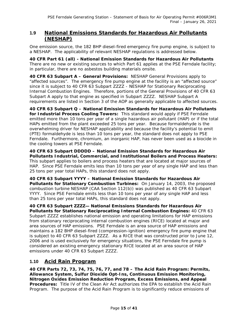# **1.9 National Emissions Standards for Hazardous Air Pollutants (NESHAP)**

One emission source, the 182 BHP diesel-fired emergency fire pump engine, is subject to a NESHAP. The applicability of relevant NESHAP regulations is addressed below.

**40 CFR Part 61 (all) - National Emission Standards for Hazardous Air Pollutants**  There are no new or existing sources to which Part 61 applies at the PSE Ferndale facility; in particular, there are no asbestos building materials onsite.

**40 CFR 63 Subpart A – General Provisions:** NESHAP General Provisions apply to "affected sources". The emergency fire pump engine at the facility is an "affected source" since it is subject to 40 CFR 63 Subpart ZZZZ - NESHAP for Stationary Reciprocating Internal Combustion Engines. Therefore, portions of the General Provisions of 40 CFR 63 Subpart A apply to that engine as specified in Subpart ZZZZ. NESHAP Subpart A requirements are listed in Section 3 of the AOP as generally applicable to affected sources.

**40 CFR 63 Subpart Q – National Emission Standards for Hazardous Air Pollutants for Industrial Process Cooling Towers:** This standard would apply if PSE Ferndale emitted more than 10 tons per year of a single hazardous air pollutant (HAP) or if the total HAPs emitted from the plant exceeded 25 tons per year. Because formaldehyde is the overwhelming driver for NESHAP applicability and because the facility's potential to emit (PTE) formaldehyde is less than 10 tons per year, the standard does not apply to PSE Ferndale. Furthermore, chromium, an inorganic HAP, has never been used as a biocide in the cooling towers at PSE Ferndale.

**40 CFR 63 Subpart DDDDD – National Emission Standards for Hazardous Air Pollutants Industrial, Commercial, and Institutional Boilers and Process Heaters:** This subpart applies to boilers and process heaters that are located at major sources of HAP. Since PSE Ferndale emits less than 10 tons per year of any single HAP and less than 25 tons per year total HAPs, this standard does not apply.

**40 CFR 63 Subpart YYYY – National Emission Standards for Hazardous Air Pollutants for Stationary Combustion Turbines:** On January 14, 2003, the proposed combustion turbine NESHAP (CAA Section 112(b)) was published as 40 CFR 63 Subpart YYYY. Since PSE Ferndale emits less than 10 tons per year of any single HAP and less than 25 tons per year total HAPs, this standard does not apply.

**40 CFR 63 Subpart ZZZZ— National Emissions Standards for Hazardous Air Pollutants for Stationary Reciprocating Internal Combustion Engines:** 40 CFR 63 Subpart ZZZZ establishes national emission and operating limitations for HAP emissions from stationary reciprocating internal combustion engines (RICE) located at major and area sources of HAP emissions. PSE Ferndale is an area source of HAP emissions and maintains a 182 BHP diesel-fired (compression-ignition) emergency fire pump engine that is subject to 40 CFR 63 Subpart ZZZZ. As a RICE that was constructed prior to June 12, 2006 and is used exclusively for emergency situations, the PSE Ferndale fire pump is considered an existing emergency stationary RICE located at an area source of HAP emissions under 40 CFR 63 Subpart ZZZZ.

## **1.10 Acid Rain Program**

**40 CFR Parts 72, 73, 74, 75, 76, 77, and 78 – The Acid Rain Program: Permits, Allowance System, Sulfur Dioxide Opt-Ins, Continuous Emission Monitoring, Nitrogen Oxides Emission Reduction Program, Excess Emissions, and Appeal Procedures:** Title IV of the Clean Air Act authorizes the EPA to establish the Acid Rain Program. The purpose of the Acid Rain Program is to significantly reduce emissions of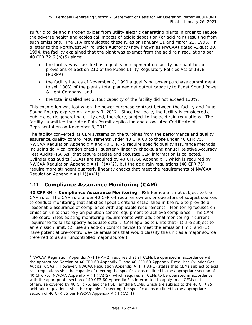sulfur dioxide and nitrogen oxides from utility electric generating plants in order to reduce the adverse health and ecological impacts of acidic deposition (or acid rain) resulting from such emissions. The EPA promulgated these rules on January 11 and March 23, 1993. In a letter to the Northwest Air Pollution Authority (now known as NWCAA) dated August 30, 1994, the facility explained that the plant was exempt from the acid rain regulations per 40 CFR 72.6 (b)(5) since:

- the facility was classified as a qualifying cogeneration facility pursuant to the provisions of Section 210 of the Public Utility Regulatory Policies Act of 1978 (PURPA),
- the facility had as of November 8, 1990 a qualifying power purchase commitment to sell 100% of the plant's total planned net output capacity to Puget Sound Power & Light Company, and
- the total installed net output capacity of the facility did not exceed 130%.

This exemption was lost when the power purchase contract between the facility and Puget Sound Energy expired on January 1, 2012. Since that date, the facility is considered a public electric generating utility and, therefore, subject to the acid rain regulations. The facility submitted their Acid Rain Permit application and associated Certificate of Representation on November 8, 2011.

The facility converted its CEM systems on the turbines from the performance and quality assurance/quality control requirements under 40 CFR 60 to those under 40 CFR 75. NWCAA Regulation Appendix A and 40 CFR 75 require specific quality assurance methods including daily calibration checks, quarterly linearity checks, and annual Relative Accuracy Test Audits (RATAs) that assure precise and accurate CEM information is collected. Cylinder gas audits (CGAs) are required by 40 CFR 60 Appendix F, which is required by NWCAA Regulation Appendix A  $(III)(A)(2)$ , but the acid rain regulations (40 CFR 75) require more stringent quarterly linearity checks that meet the requirements of NWCAA Regulation Appendix A  $(III)(A)(1)<sup>7</sup>$ .

# **1.11 Compliance Assurance Monitoring (CAM)**

**40 CFR 64 – Compliance Assurance Monitoring:** PSE Ferndale is not subject to the CAM rule. The CAM rule under 40 CFR 64 requires owners or operators of subject sources to conduct monitoring that satisfies specific criteria established in the rule to provide a reasonable assurance of compliance with applicable requirements. Monitoring focuses on emission units that rely on pollution control equipment to achieve compliance. The CAM rule coordinates existing monitoring requirements with additional monitoring if current requirements fail to specify adequate detail. CAM applies to units that (1) are subject to an emission limit, (2) use an add-on control device to meet the emission limit, and (3) have potential pre-control device emissions that would classify the unit as a major source (referred to as an "uncontrolled major source").

<span id="page-19-0"></span><sup>&</sup>lt;sup>7</sup> NWCAA Regulation Appendix A (III)(A)(2) requires that all CEMs be operated in accordance with the appropriate Section of 40 CFR 60 Appendix F, and 40 CFR 60 Appendix F requires Cylinder Gas Audits (CGAs). However, NWCAA Regulation Appendix A (III)(A)(1) states that CEMs subject to acid rain regulations shall be capable of meeting the specifications outlined in the appropriate section of 40 CFR 75. NWCAA Appendix A (III)(A)(2), which requires all CEMs to be operated in accordance with the appropriate section of 40 CFR 60 Appendix F is interpreted to apply to all CEMs not otherwise covered by 40 CFR 75, and the PSE Ferndale CEMs, which are subject to the 40 CFR 75 acid rain regulations, shall be capable of meeting the specifications outlined in the appropriate section of 40 CFR 75 per NWCAA Appendix A (III)(A)(1).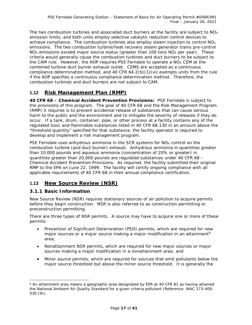The two combustion turbines and associated duct burners at the facility are subject to  $NO_X$ emission limits, and both units employ selective catalytic reduction control devices to achieve compliance. The combustion turbines also employ steam injection to control  $NO<sub>X</sub>$ emissions. The two combustion turbine/heat recovery steam generator trains pre-control  $NO<sub>X</sub>$  emissions exceed major source status (greater than 100 tons  $NO<sub>X</sub>$  per year). These criteria would generally cause the combustion turbines and duct burners to be subject to the CAM rule. However, the AOP requires PSE Ferndale to operate a  $NO<sub>x</sub>$  CEM at the combined turbine-duct burner exhaust outlet. CEMS are accepted as a continuous compliance determination method, and 40 CFR 64.2(b)(1)(vi) exempts units from the rule if the AOP specifies a continuous compliance determination method. Therefore, the combustion turbines and duct burners are not subject to CAM.

# **1.12 Risk Management Plan (RMP)**

**40 CFR 68 – Chemical Accident Prevention Provisions:** PSE Ferndale is subject to the provisions of this program. The goal of 40 CFR 68 and the Risk Management Program (RMP) it requires is to prevent accidental release of substances that can cause serious harm to the public and the environment and to mitigate the severity of releases if they do occur. If a tank, drum, container, pipe, or other process at a facility contains any of the regulated toxic and flammable substances listed in 40 CFR 68.130 in an amount above the "threshold quantity" specified for that substance, the facility operator is required to develop and implement a risk management program.

PSE Ferndale uses anhydrous ammonia in the SCR systems for NO<sub>x</sub> control on the combustion turbine (and duct burner) exhaust. Anhydrous ammonia in quantities greater than 10,000 pounds and aqueous ammonia (concentration of 20% or greater) in quantities greater than 20,000 pounds are regulated substances under 40 CFR 68 – Chemical Accident Prevention Provisions. As required, the facility submitted their original RMP to the EPA on June 22, 1999. The facility will certify ongoing compliance with all applicable requirements of 40 CFR 68 in their annual compliance certification.

# **1.13 New Source Review (NSR)**

## **3.1.1 Basic Information**

New Source Review (NSR) requires stationary sources of air pollution to acquire permits before they begin construction. NSR is also referred to as construction permitting or preconstruction permitting.

There are three types of NSR permits. A source may have to acquire one or more of these permits:

- Prevention of Significant Deterioration (PSD) permits, which are required for new major sources or a major source making a major modification in an attainment<sup>[8](#page-20-0)</sup> area;
- Nonattainment NSR permits, which are required for new major sources or major sources making a major modification in a nonattainment area; and
- Minor source permits, which are required for sources that emit pollutants below the major source threshold but above the minor source threshold. It is generally the

<span id="page-20-0"></span><sup>&</sup>lt;sup>8</sup> An attainment area means a geographic area designated by EPA at 40 CFR 81 as having attained the National Ambient Air Quality Standard for a given criteria pollutant (Reference: WAC 173-400- 030 (9)).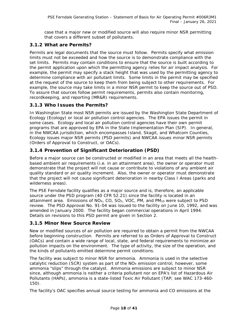case that a major new or modified source will also require minor NSR permitting that covers a different subset of pollutants.

## **3.1.2 What are Permits?**

Permits are legal documents that the source must follow. Permits specify what emission limits must not be exceeded and how the source is to demonstrate compliance with the set limits. Permits may contain conditions to ensure that the source is built according to the permit application upon which the permitting agency relies for air impact analysis. For example, the permit may specify a stack height that was used by the permitting agency to determine compliance with air pollutant limits. Some limits in the permit may be specified at the request of the source to keep them from being subject to other requirements. For example, the source may take limits in a minor NSR permit to keep the source out of PSD. To assure that sources follow permit requirements, permits also contain monitoring, recordkeeping, and reporting (MR&R) requirements.

## **3.1.3 Who Issues the Permits?**

In Washington State most NSR permits are issued by the Washington State Department of Ecology (Ecology) or local air pollution control agencies. The EPA issues the permit in some cases. Ecology and local air pollution control agencies have their own permit programs that are approved by EPA in the State Implementation Plan (SIP). In general, in the NWCAA jurisdiction, which encompasses Island, Skagit, and Whatcom Counties, Ecology issues major NSR permits (PSD permits) and NWCAA issues minor NSR permits (Orders of Approval to Construct, or OACs).

# **3.1.4 Prevention of Significant Deterioration (PSD)**

Before a major source can be constructed or modified in an area that meets all the healthbased ambient air requirements (i.e. in an attainment area), the owner or operator must demonstrate that the project will not cause or contribute to violations of any ambient air quality standard or air quality increment. Also, the owner or operator must demonstrate that the project will not cause significant deterioration in nearby Class I Areas (parks and wilderness areas).

The PSE Ferndale facility qualifies as a major source and is, therefore, an applicable source under the PSD program (40 CFR 52.21) since the facility is located in an attainment area. Emissions of NO<sub>X</sub>, CO, SO<sub>2</sub>, VOC, PM, and PM<sub>10</sub> were subject to PSD review. The PSD Approval No. 91-04 was issued to the facility on June 10, 1992, and was amended in January 2000. The facility began commercial operations in April 1994. Details on revisions to this PSD permit are given in Section 2.

## **3.1.5 Minor New Source Review**

New or modified sources of air pollution are required to obtain a permit from the NWCAA before beginning construction. Permits are referred to as Orders of Approval to Construct (OACs) and contain a wide range of local, state, and federal requirements to minimize air pollution impacts on the environment. The type of activity, the size of the operation, and the kinds of pollutants emitted determine permit conditions.

The facility was subject to minor NSR for ammonia. Ammonia is used in the selective catalytic reduction (SCR) system as part of the  $NO<sub>X</sub>$  emission control; however, some ammonia "slips" through the catalyst. Ammonia emissions are subject to minor NSR since, although ammonia is neither a criteria pollutant nor on EPA's list of Hazardous Air Pollutants (HAPs), ammonia is a state-listed Toxic Air Pollutant (TAP; see WAC 173-460- 150).

The facility's OAC specifies annual source testing for ammonia and CO emissions at the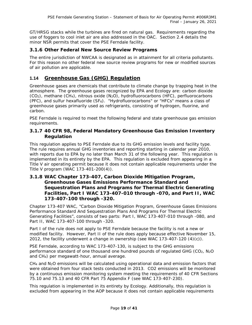GT/HRSG stacks while the turbines are fired on natural gas. Requirements regarding the use of foggers to cool inlet air are also addressed in the OAC. Section [2.4](#page-12-0) details the minor NSR permits that cover the PSE Ferndale facility.

#### **3.1.6 Other Federal New Source Review Programs**

The entire jurisdiction of NWCAA is designated as in attainment for all criteria pollutants. For this reason no other federal new source review programs for new or modified sources of air pollution are applicable.

# **1.14 Greenhouse Gas (GHG) Regulation**

Greenhouse gases are chemicals that contribute to climate change by trapping heat in the atmosphere. The greenhouse gases recognized by EPA and Ecology are: carbon dioxide  $(CO<sub>2</sub>)$ , methane  $(CH<sub>4</sub>)$ , nitrous oxide  $(N<sub>2</sub>O)$ , hydrofluorocarbons (HFC), perfluorocarbons (PFC), and sulfur hexafluoride (SF<sub>6</sub>). "Hydrofluorocarbons" or "HFCs" means a class of greenhouse gases primarily used as refrigerants, consisting of hydrogen, fluorine, and carbon.

PSE Ferndale is required to meet the following federal and state greenhouse gas emission requirements.

#### **3.1.7 40 CFR 98, Federal Mandatory Greenhouse Gas Emission Inventory Regulation**

This regulation applies to PSE Ferndale due to its GHG emission levels and facility type. The rule requires annual GHG inventories and reporting starting in calendar year 2010, with reports due to EPA by no later than March 31 of the following year. This regulation is implemented in its entirety by the EPA. This regulation is excluded from appearing in a Title V air operating permit because it does not contain applicable requirements under the Title V program (WAC 173-401-200(4)).

#### **3.1.8 WAC Chapter 173-407, Carbon Dioxide Mitigation Program, Greenhouse Gases Emissions Performance Standard and Sequestration Plans and Programs for Thermal Electric Generating Facilities, Part I WAC 173-407-010 through -070, and Part II, WAC 173-407-100 through -320.**

Chapter 173-407 WAC, "Carbon Dioxide Mitigation Program, Greenhouse Gases Emissions Performance Standard And Sequestration Plans And Programs For Thermal Electric Generating Facilities", consists of two parts: Part I, WAC 173-407-010 through -080, and Part II, WAC 173-407-100 through -320.

Part I of the rule does not apply to PSE Ferndale because the facility is not a new or modified facility. However, Part II of the rule does apply because effective November 15, 2012, the facility underwent a change in ownership (see WAC 173-407-120  $(4)(c)$ ).

PSE Ferndale, according to WAC 173-407-130, is subject to the GHG emissions performance standard of one thousand one hundred pounds of regulated GHG (CO<sub>2</sub>, N<sub>2</sub>O) and CH4) per megawatt-hour, annual average.

CH4 and N2O emissions will be calculated using operational data and emission factors that were obtained from four stack tests conducted in 2013. CO2 emissions will be monitored by a continuous emission monitoring system meeting the requirements of 40 CFR Sections 75.10 and 75.13 and 40 CFR Part 75 Appendix F (see WAC 173-407-230).

This regulation is implemented in its entirety by Ecology. Additionally, this regulation is excluded from appearing in the AOP because it does not contain applicable requirements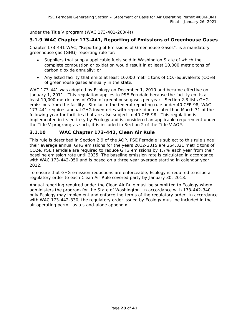under the Title V program (WAC 173-401-200(4)).

#### **3.1.9 WAC Chapter 173-441, Reporting of Emissions of Greenhouse Gases**

Chapter 173-441 WAC, "Reporting of Emissions of Greenhouse Gases", is a mandatory greenhouse gas (GHG) reporting rule for:

- Suppliers that supply applicable fuels sold in Washington State of which the complete combustion or oxidation would result in at least 10,000 metric tons of carbon dioxide annually; or
- Any listed facility that emits at least 10,000 metric tons of  $CO<sub>2</sub>$ -equivalents ( $CO<sub>2</sub>e$ ) of greenhouse gases annually in the state.

WAC 173-441 was adopted by Ecology on December 1, 2010 and became effective on January 1, 2011. This regulation applies to PSE Ferndale because the facility emits at least 10,000 metric tons of CO<sub>2</sub>e of greenhouse gases per year. Section 2.3 lists GHG emissions from the facility. Similar to the federal reporting rule under 40 CFR 98, WAC 173-441 requires annual GHG inventories with reports due no later than March 31 of the following year for facilities that are also subject to 40 CFR 98. This regulation is implemented in its entirety by Ecology and is considered an applicable requirement under the Title V program; as such, it is included in Section 2 of the Title V AOP.

#### **3.1.10 WAC Chapter 173-442, Clean Air Rule**

This rule is described in Section 2.9 of the AOP. PSE Ferndale is subject to this rule since their average annual GHG emissions for the years 2012-2015 are 264,321 metric tons of CO2e. PSE Ferndale are required to reduce GHG emissions by 1.7% each year from their baseline emission rate until 2035. The baseline emission rate is calculated in accordance with WAC 173-442-050 and is based on a three year average starting in calendar year 2012.

To ensure that GHG emission reductions are enforceable, Ecology is required to issue a regulatory order to each Clean Air Rule covered party by January 30, 2018.

Annual reporting required under the Clean Air Rule must be submitted to Ecology whom administers the program for the State of Washington. In accordance with 173-442-340 only Ecology may implement and enforce the terms of the regulatory order. In accordance with WAC 173-442-330, the regulatory order issued by Ecology must be included in the air operating permit as a stand-alone appendix.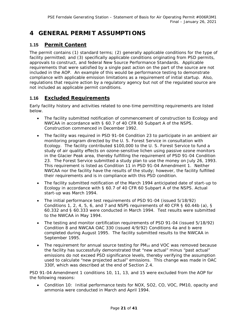# **4 GENERAL PERMIT ASSUMPTIONS**

# **1.15 Permit Content**

The permit contains (1) standard terms; (2) generally applicable conditions for the type of facility permitted; and (3) specifically applicable conditions originating from PSD permits, approvals to construct, and federal New Source Performance Standards. Applicable requirements that were satisfied by a single past action on the part of the source are not included in the AOP. An example of this would be performance testing to demonstrate compliance with applicable emission limitations as a requirement of initial startup. Also, regulations that require action by a regulatory agency but not of the regulated source are not included as applicable permit conditions.

# **1.16 Excluded Requirements**

Early facility history and activities related to one-time permitting requirements are listed below.

- The facility submitted notification of commencement of construction to Ecology and NWCAA in accordance with § 60.7 of 40 CFR 60 Subpart A of the NSPS. Construction commenced in December 1992.
- The facility was required in PSD 91-04 Condition 23 to participate in an ambient air monitoring program directed by the U. S. Forest Service in consultation with Ecology. The facility contributed \$100,000 to the U. S. Forest Service to fund a study of air quality effects on ozone-sensitive lichen using passive ozone monitors in the Glacier Peak area, thereby fulfilling the requirement of PSD 91-04 Condition 23. The Forest Service submitted a study plan to use the money on July 26, 1993. This requirement is listed as Condition 11 in PSD 91-04 Amendment 1. Neither NWCAA nor the facility have the results of the study; however, the facility fulfilled their requirements and is in compliance with this PSD condition.
- The facility submitted notification of the March 1994 anticipated date of start-up to Ecology in accordance with § 60.7 of 40 CFR 60 Subpart A of the NSPS. Actual start-up was March 1994.
- The initial performance test requirements of PSD 91-04 (issued 5/18/92) Conditions 1, 2, 4, 5, 6, and 7 and NSPS requirements of 40 CFR § 60.44b (a), § 60.332 and § 60.333 were conducted in March 1994. Test results were submitted to the NWCAA in May 1994.
- The testing and monitor certification requirements of PSD 91-04 (issued 5/18/92) Condition 8 and NWCAA OAC 330 (issued 4/9/92) Conditions 4a and b were completed during August 1995. The facility submitted results to the NWCAA in September 1995.
- The requirement for annual source testing for  $PM_{10}$  and VOC was removed because the facility has successfully demonstrated that "new actual" minus "past actual" emissions do not exceed PSD significance levels, thereby verifying the assumption used to calculate "new projected actual" emissions. This change was made in OAC 330f, which was described at the end of Section [2.4.](#page-12-0)

PSD 91-04 Amendment 1 conditions 10, 11, 13, and 15 were excluded from the AOP for the following reasons:

• Condition 10: Initial performance tests for NOX, SO2, CO, VOC, PM10, opacity and ammonia were conducted in March and April 1994.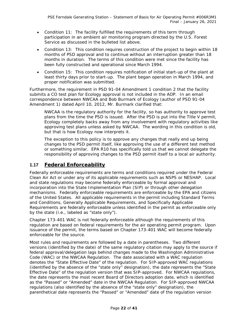- Condition 11: The facility fulfilled the requirements of this term through participation in an ambient air monitoring program directed by the U.S. Forest Service as discussed in the bulleted list above.
- Condition 13: This condition requires construction of the project to begin within 18 months of PSD approval and to continue without an interruption greater than 18 months in duration. The terms of this condition were met since the facility has been fully constructed and operational since March 1994.
- Condition 15: This condition requires notification of initial start-up of the plant at least thirty days prior to start-up. The plant began operation in March 1994, and proper notification was submitted.

Furthermore, the requirement in PSD 91-04 Amendment 1 condition 2 that the facility submits a CO test plan for Ecology approval is not included in the AOP. In an email correspondence between NWCAA and Bob Burmark of Ecology (author of PSD 91-04 Amendment 1) dated April 10, 2012, Mr. Burmark clarified that:

NWCAA is the regulatory authority for the facility, so has authority to approve test plans from the time the PSD is issued. After the PSD is put into the Title V permit, Ecology completely backs away from any involvement with regulatory activities like approving test plans unless asked by NWCAA. The wording in this condition is old, but that is how Ecology now interprets it.

The exception to this policy is to approve any changes that really end up being changes to the PSD permit itself, like approving the use of a different test method or something similar. EPA R10 has specifically told us that we cannot delegate the responsibility of approving changes to the PSD permit itself to a local air authority.

# **1.17 Federal Enforceability**

Federally enforceable requirements are terms and conditions required under the Federal Clean Air Act or under any of its applicable requirements such as NSPS or NESHAP. Local and state regulations may become federally enforceable by formal approval and incorporation into the State Implementation Plan (SIP) or through other delegation mechanisms. Federally enforceable requirements are enforceable by the EPA and citizens of the United States. All applicable requirements in the permit including Standard Terms and Conditions, Generally Applicable Requirements, and Specifically Applicable Requirements are federally enforceable unless identified in the permit as enforceable only by the state (i.e., labeled as "state only").

Chapter 173-401 WAC is not federally enforceable although the requirements of this regulation are based on federal requirements for the air operating permit program. Upon issuance of the permit, the terms based on Chapter 173-401 WAC will become federally enforceable for the source.

Most rules and requirements are followed by a date in parentheses. Two different versions (identified by the date) of the same regulatory citation may apply to the source if federal approval/delegation lags behind changes made to the Washington Administrative Code (WAC) or the NWCAA Regulation. The date associated with a WAC regulation denotes the "State Effective Date" of the regulation. For SIP-approved WAC regulations (identified by the absence of the "state only" designation), the date represents the "State Effective Date" of the regulation version that was SIP-approved. For NWCAA regulations, the date represents the most recent Board of Directors adoption date, which is identified as the "Passed" or "Amended" date in the NWCAA Regulation. For SIP-approved NWCAA regulations (also identified by the absence of the "state only" designation), the parenthetical date represents the "Passed" or "Amended" date of the regulation version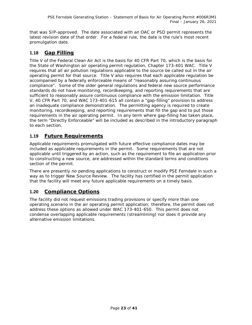that was SIP-approved. The date associated with an OAC or PSD permit represents the latest revision date of that order. For a federal rule, the date is the rule's most recent promulgation date.

# **1.18 Gap Filling**

Title V of the Federal Clean Air Act is the basis for 40 CFR Part 70, which is the basis for the State of Washington air operating permit regulation, Chapter 173-401 WAC. Title V requires that all air pollution regulations applicable to the source be called out in the air operating permit for that source. Title V also requires that each applicable regulation be accompanied by a federally enforceable means of "reasonably assuring continuous compliance". Some of the older general regulations and federal new source performance standards do not have monitoring, recordkeeping, and reporting requirements that are sufficient to reasonably assure continuous compliance with the emission limitation. Title V, 40 CFR Part 70, and WAC 173-401-615 all contain a "gap-filling" provision to address an inadequate compliance demonstration. The permitting agency is required to create monitoring, recordkeeping, and reporting requirements that fill the gap and to put those requirements in the air operating permit. In any term where gap-filling has taken place, the term "Directly Enforceable" will be included as described in the introductory paragraph to each section.

# **1.19 Future Requirements**

Applicable requirements promulgated with future effective compliance dates may be included as applicable requirements in the permit. Some requirements that are not applicable until triggered by an action, such as the requirement to file an application prior to constructing a new source, are addressed within the standard terms and conditions section of the permit.

There are presently no pending applications to construct or modify PSE Ferndale in such a way as to trigger New Source Review. The facility has certified in the permit application that the facility will meet any future applicable requirements on a timely basis.

# **1.20 Compliance Options**

The facility did not request emissions trading provisions or specify more than one operating scenario in the air operating permit application; therefore, the permit does not address these options as allowed under WAC 173-401-650. This permit does not condense overlapping applicable requirements (streamlining) nor does it provide any alternative emission limitations.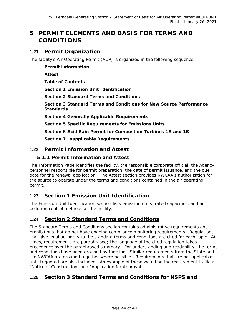# **5 PERMIT ELEMENTS AND BASIS FOR TERMS AND CONDITIONS**

# **1.21 Permit Organization**

The facility's Air Operating Permit (AOP) is organized in the following sequence:

**Permit Information Attest Table of Contents Section 1 Emission Unit Identification Section 2 Standard Terms and Conditions Section 3 Standard Terms and Conditions for New Source Performance Standards Section 4 Generally Applicable Requirements Section 5 Specific Requirements for Emissions Units Section 6 Acid Rain Permit for Combustion Turbines 1A and 1B Section 7 Inapplicable Requirements**

# **1.22 Permit Information and Attest**

#### **5.1.1 Permit Information and Attest**

The Information Page identifies the facility, the responsible corporate official, the Agency personnel responsible for permit preparation, the date of permit issuance, and the due date for the renewal application. The Attest section provides NWCAA's authorization for the source to operate under the terms and conditions contained in the air operating permit.

# **1.23 Section 1 Emission Unit Identification**

The Emission Unit Identification section lists emission units, rated capacities, and air pollution control methods at the facility.

## **1.24 Section 2 Standard Terms and Conditions**

The Standard Terms and Conditions section contains administrative requirements and prohibitions that do not have ongoing compliance monitoring requirements. Regulations that give legal authority to the standard terms and conditions are cited for each topic. At times, requirements are paraphrased; the language of the cited regulation takes precedence over the paraphrased summary. For understanding and readability, the terms and conditions have been grouped by function. Similar requirements from the State and the NWCAA are grouped together where possible. Requirements that are not applicable until triggered are also included. An example of these would be the requirement to file a "Notice of Construction" and "Application for Approval."

# **1.25 Section 3 Standard Terms and Conditions for NSPS and**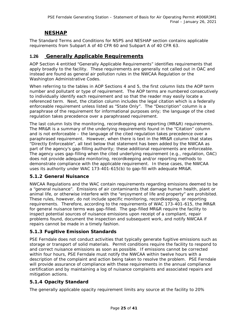# **NESHAP**

The Standard Terms and Conditions for NSPS and NESHAP section contains applicable requirements from Subpart A of 40 CFR 60 and Subpart A of 40 CFR 63.

#### **1.26 Generally Applicable Requirements**

AOP Section 4 entitled "Generally Applicable Requirements" identifies requirements that apply broadly to the facility. These requirements are generally not called out in OAC and instead are found as general air pollution rules in the NWCAA Regulation or the Washington Administrative Codes.

When referring to the tables in AOP Sections 4 and 5, the first column lists the AOP term number and pollutant or type of requirement. The AOP terms are numbered consecutively to individually identify each requirement and so that the reader may easily locate a referenced term. Next, the citation column includes the legal citation which is a federally enforceable requirement unless listed as "State Only". The "Description" column is a paraphrase of the requirement for informational purposes only; the language of the cited regulation takes precedence over a paraphrased requirement.

The last column lists the monitoring, recordkeeping and reporting (MR&R) requirements. The MR&R is a summary of the underlying requirements found in the "Citation" column and is not enforceable – the language of the cited regulation takes precedence over a paraphrased requirement. However, when there is text in the MR&R column that states "Directly Enforceable", all text below that statement has been added by the NWCAA as part of the agency's gap-filling authority; these additional requirements are enforceable. The agency uses gap-filling when the cited underlying requirement (e.g., regulation, OAC) does not provide adequate monitoring, recordkeeping and/or reporting methods to demonstrate compliance with the applicable requirement. In these cases, the NWCAA uses its authority under WAC 173-401-615(b) to gap-fill with adequate MR&R.

#### **5.1.2 General Nuisance**

NWCAA Regulations and the WAC contain requirements regarding emissions deemed to be a "general nuisance". Emissions of air contaminants that damage human health, plant or animal life, or otherwise interfere with the "enjoyment of life and property" are prohibited. These rules, however, do not include specific monitoring, recordkeeping, or reporting requirements. Therefore, according to the requirements of WAC 173-401-615, the MR&R for general nuisance terms was gap-filled. The gap-filled MR&R require the facility to inspect potential sources of nuisance emissions upon receipt of a compliant, repair problems found, document the inspection and subsequent work, and notify NWCAA if repairs cannot be made in a timely fashion.

#### **5.1.3 Fugitive Emission Standards**

PSE Ferndale does not conduct activities that typically generate fugitive emissions such as storage or transport of solid materials. Permit conditions require the facility to respond to and correct nuisance emissions as soon as possible. If emissions cannot be corrected within four hours, PSE Ferndale must notify the NWCAA within twelve hours with a description of the complaint and action being taken to resolve the problem. PSE Ferndale will provide assurance of compliance with these requirements in the annual compliance certification and by maintaining a log of nuisance complaints and associated repairs and mitigation actions.

#### **5.1.4 Opacity Standard**

The generally applicable opacity requirement limits any source at the facility to 20%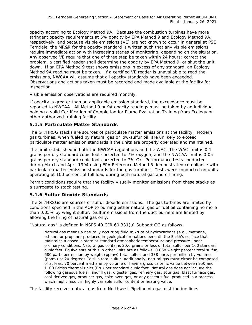opacity according to Ecology Method 9A. Because the combustion turbines have more stringent opacity requirements at 5% opacity by EPA Method 9 and Ecology Method 9A, respectively, and because visible emissions (VE) are not known to occur in general at PSE Ferndale, the MR&R for the opacity standard is written such that any visible emissions require immediate action with increasing stages of monitoring, depending on the situation. Any observed VE require that one of three step be taken within 24 hours: correct the problem, a certified reader shall determine the opacity by EPA Method 9, or shut the unit down. If an EPA Method 9 test shows emissions in excess of any standard, an Ecology Method 9A reading must be taken. If a certified VE reader is unavailable to read the emissions, NWCAA will assume that all opacity standards have been exceeded. Observations and actions taken must be recorded and made available at the facility for inspection.

Visible emission observations are required monthly.

If opacity is greater than an applicable emission standard, the exceedance must be reported to NWCAA. All Method 9 or 9A opacity readings must be taken by an individual holding a valid Certification of Completion for Plume Evaluation Training from Ecology or other authorized training facility.

#### **5.1.5 Particulate Matter Standards**

The GT/HRSG stacks are sources of particulate matter emissions at the facility. Modern gas turbines, when fueled by natural gas or low-sulfur oil, are unlikely to exceed particulate matter emission standards if the units are properly operated and maintained.

The limit established in both the NWCAA regulations and the WAC. The WAC limit is 0.1 grains per dry standard cubic foot corrected to 7% oxygen, and the NWCAA limit is 0.05 grains per dry standard cubic foot corrected to 7% O2. Performance tests conducted during March and April 1994 using EPA Reference Method 5 demonstrated compliance with particulate matter emission standards for the gas turbines. Tests were conducted on units operating at 100 percent of full load during both natural gas and oil firing.

Permit conditions require that the facility visually monitor emissions from these stacks as a surrogate to stack testing.

#### **5.1.6 Sulfur Dioxide Standards**

The GT/HRSGs are sources of sulfur dioxide emissions. The gas turbines are limited by conditions specified in the AOP to burning either natural gas or fuel oil containing no more than 0.05% by weight sulfur. Sulfur emissions from the duct burners are limited by allowing the firing of natural gas only.

"Natural gas" is defined in NSPS 40 CFR 60.331(u) Subpart GG as follows:

Natural gas means a naturally occurring fluid mixture of hydrocarbons (e.g., methane, ethane, or propane) produced in geological formations beneath the Earth's surface that maintains a gaseous state at standard atmospheric temperature and pressure under ordinary conditions. Natural gas contains 20.0 grains or less of total sulfur per 100 standard cubic feet. Equivalents of this in other units are as follows: 0.068 weight percent total sulfur, 680 parts per million by weight (ppmw) total sulfur, and 338 parts per million by volume (ppmv) at 20 degrees Celsius total sulfur. Additionally, natural gas must either be composed of at least 70 percent methane by volume or have a gross calorific value between 950 and 1100 British thermal units (Btu) per standard cubic foot. Natural gas does not include the following gaseous fuels: landfill gas, digester gas, refinery gas, sour gas, blast furnace gas, coal-derived gas, producer gas, coke oven gas, or any gaseous fuel produced in a process which might result in highly variable sulfur content or heating value.

The facility receives natural gas from Northwest Pipeline via gas distribution lines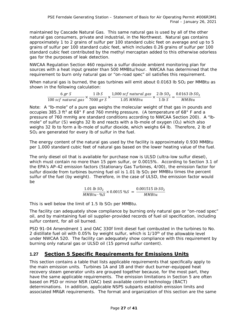maintained by Cascade Natural Gas. This same natural gas is used by all of the other natural gas consumers, private and industrial, in the Northwest. Natural gas contains approximately 1 to 2 grains of sulfur per 100 standard cubic feet on average and up to 5 grains of sulfur per 100 standard cubic feet, which includes 0.26 grains of sulfur per 100 standard cubic feet contributed by the methyl mercaptan added to this otherwise odorless gas for the purposes of leak detection.

NWCAA Regulation Section 460 requires a sulfur dioxide ambient monitoring plan for sources with a heat input greater than 500 MMBtu/hour. NWCAA has determined that the requirement to burn only natural gas or "on-road spec" oil satisfies this requirement.

When natural gas is burned, the gas turbines will emit about 0.0163 lb  $SO<sub>2</sub>$  per MMBtu as shown in the following calculation:

$$
\frac{6 \text{ gr } S}{100 \text{ scf natural gas}} \times \frac{1 \text{ lb } S}{7000 \text{ gr } S} \times \frac{1,000 \text{ scf natural gas}}{1.05 \text{ MMBtu}} \times \frac{2 \text{ lb } SO_2}{1 \text{ lb } S} = \frac{0.0163 \text{ lb } SO_2}{\text{ MMBtu}}
$$

Note: A "lb-mole" of a pure gas weighs the molecular weight of that gas in pounds and occupies 385.3 ft<sup>3</sup> at 68° F and 760 mmHg pressure. (A temperature of 68° F and a pressure of 760 mmHg are standard conditions according to NWCAA Section 200). A "lbmole" of sulfur (S) weighs 32 lb and reacts with a lb-mole of oxygen  $(O_2)$  which also weighs 32 lb to form a lb-mole of sulfur dioxide, which weighs 64 lb. Therefore, 2 lb of SO2 are generated for every lb of sulfur in the fuel.

The energy content of the natural gas used by the facility is approximately 0.930 MMBtu per 1,000 standard cubic feet of natural gas based on the lower heating value of the fuel.

The only diesel oil that is available for purchase now is ULSD (ultra-low sulfur diesel), which must contain no more than 15 ppm sulfur, or 0.0015%. According to Section 3.1 of the EPA's AP-42 emission factors (*Stationary Gas Turbines, 4/00*), the emission factor for sulfur dioxide from turbines burning fuel oil is  $1.01$  lb  $SO<sub>2</sub>$  per MMBtu times the percent sulfur of the fuel (by weight). Therefore, in the case of ULSD, the emission factor would be

$$
\frac{1.01 \, lb \, SO_2}{MMBtu \cdot \%S} \times 0.0015 \, \%S \ = \frac{0.001515 \, lb \, SO_2}{MMBtu}
$$

This is well below the limit of  $1.5$  lb  $SO<sub>2</sub>$  per MMBtu.

The facility can adequately show compliance by burning only natural gas or "on-road spec" oil, and by maintaining fuel oil supplier-provided records of fuel oil specification, including sulfur content, for all oil burned.

PSD 91-04 Amendment 1 and OAC 330f limit diesel fuel combusted in the turbines to No. 2 distillate fuel oil with 0.05% by weight sulfur, which is  $1/10<sup>th</sup>$  of the allowable level under NWCAA 520. The facility can adequately show compliance with this requirement by burning only natural gas or ULSD oil (15 ppmvd sulfur content).

## **1.27 Section 5 Specific Requirements for Emissions Units**

This section contains a table that lists applicable requirements that specifically apply to the main emission units. Turbines 1A and 1B and their duct burner-equipped heat recovery steam generator units are grouped together because, for the most part, they have the same applicable requirements. The emission limitations in Section 5 are often based on PSD or minor NSR (OAC) best available control technology (BACT) determinations. In addition, applicable NSPS subparts establish emission limits and associated MR&R requirements. The format and organization of this section are the same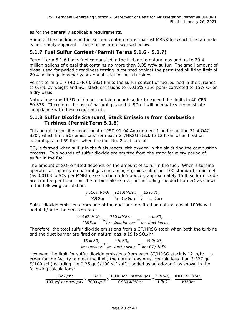as for the generally applicable requirements.

Some of the conditions in this section contain terms that list MR&R for which the rationale is not readily apparent. These terms are discussed below.

#### **5.1.7 Fuel Sulfur Content (Permit Terms 5.1.6 - 5.1.7)**

Permit term 5.1.6 limits fuel combusted in the turbine to natural gas and up to 20.4 million gallons of diesel that contains no more than 0.05 wt% sulfur. The small amount of diesel used for periodic readiness testing is counted against the permitted oil firing limit of 20.4 million gallons per year annual total for both turbines.

Permit term 5.1.7 (40 CFR 60.333) limits the sulfur content of fuel burned in the turbines to 0.8% by weight and  $SO<sub>2</sub>$  stack emissions to 0.015% (150 ppm) corrected to 15%  $O<sub>2</sub>$  on a dry basis.

Natural gas and ULSD oil do not contain enough sulfur to exceed the limits in 40 CFR 60.333. Therefore, the use of natural gas and ULSD oil will adequately demonstrate compliance with these requirements.

#### **5.1.8 Sulfur Dioxide Standard, Stack Emissions from Combustion Turbines (Permit Term 5.1.8)**

This permit term cites condition 4 of PSD 91-04 Amendment 1 and condition 3f of OAC 330f, which limit SO<sub>2</sub> emissions from each GT/HRSG stack to 12 lb/hr when fired on natural gas and 59 lb/hr when fired on No. 2 distillate oil.

 $SO<sub>2</sub>$  is formed when sulfur in the fuels reacts with oxygen in the air during the combustion process. Two pounds of sulfur dioxide are emitted from the stack for every pound of sulfur in the fuel.

The amount of  $SO<sub>2</sub>$  emitted depends on the amount of sulfur in the fuel. When a turbine operates at capacity on natural gas containing 6 grains sulfur per 100 standard cubic feet (as 0.0163 lb SO2 per MMBtu, see section 5.6.5 above), approximately 15 lb sulfur dioxide are emitted per hour from the turbine alone (i.e., not including the duct burner) as shown in the following calculation:

$$
\frac{0.0163 \; lb \; S O_2}{MM B t u} \times \frac{924 \; M M B t u}{hr \cdot turbine} = \frac{15 \; lb \; S O_2}{hr \cdot turbine}
$$

Sulfur dioxide emissions from one of the duct burners fired on natural gas at 100% will add 4 lb/hr to the emission rate:

$$
\frac{0.0163 \; lb \; SO_2}{MMBtu} \times \frac{250 \; MMBtu}{hr \cdot duct \; burner} = \frac{4 \; lb \; SO_2}{hr \cdot duct \; burner}
$$

Therefore, the total sulfur dioxide emissions from a GT/HRSG stack when both the turbine and the duct burner are fired on natural gas is 19 lb  $SO<sub>2</sub>/hr$ .

$$
\frac{15 \text{ lb } SO_2}{hr \cdot turbine} + \frac{4 \text{ lb } SO_2}{hr \cdot duct \text{ burner}} = \frac{19 \text{ lb } SO_2}{hr \cdot GT/HRSG}
$$

However, the limit for sulfur dioxide emissions from each GT/HRSG stack is 12 lb/hr. In order for the facility to meet the limit, the natural gas must contain less than 3.327 gr S/100 scf (including the 0.26 gr S/100 scf sulfur added as an odorant) as shown in the following calculations:

$$
\frac{3.327\; gr\; S}{100\; scf\; natural\; gas} \times \frac{1\; lb\; S}{7000\; gr\; S} \times \frac{1,000\; scf\; natural\; gas}{0.930\; M M B t u} \times \frac{2\; lb\; SO_2}{1\; lb\; S} = \frac{0.01022\; lb\; SO_2}{M M B t u}
$$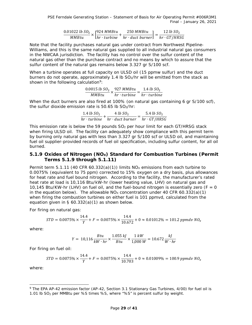$$
\frac{0.01022 \; lb \; SO_2}{MMBtu} \times \left[\frac{924 \; MMBtu}{hr \cdot turbine} + \frac{250 \; MMBtu}{hr \cdot duct \; burner}\right] = \frac{12 \; lb \; SO_2}{hr \cdot GT/HRSG}
$$

Note that the facility purchases natural gas under contract from Northwest Pipeline-Williams, and this is the same natural gas supplied to all industrial natural gas consumers in the NWCAA jurisdiction. The facility has no control over the sulfur content of the natural gas other than the purchase contract and no means by which to assure that the sulfur content of the natural gas remains below 3.327 gr S/100 scf.

When a turbine operates at full capacity on ULSD oil (15 ppmw sulfur) and the duct burners do not operate, approximately 1.4 lb SO2/hr will be emitted from the stack as shown in the following calculation<sup>[9](#page-32-0)</sup>:

$$
\frac{0.0015 \; lb \; SO_2}{MMBtu} \times \frac{927 \; MMBtu}{hr \cdot turbine} = \frac{1.4 \; lb \; SO_2}{hr \cdot turbine}
$$

When the duct burners are also fired at 100% (on natural gas containing 6 gr S/100 scf), the sulfur dioxide emission rate is  $50.65$  lb  $SO<sub>2</sub>/hr$ :

$$
\frac{1.4 \text{ lb } SO_2}{hr \cdot turbine} + \frac{4 \text{ lb } SO_2}{hr \cdot duct \text{ burner}} = \frac{5.4 \text{ lb } SO_2}{hr \cdot GT/HRSG}
$$

This emission rate is below the 59 pounds  $SO<sub>2</sub>$  per hour limit for each GT/HRSG stack when firing ULSD oil. The facility can adequately show compliance with this permit term by burning only natural gas with less than 3.327 gr S/100 scf or ULSD oil, and maintaining fuel oil supplier-provided records of fuel oil specification, including sulfur content, for all oil burned.

#### 5.1.9 Oxides of Nitrogen (NO<sub>x</sub>) Standard for Combustion Turbines (Permit **Terms 5.1.9 through 5.1.11)**

Permit term 5.1.11 (40 CFR 60.332(a)(1)) limits  $NO<sub>x</sub>$  emissions from each turbine to 0.0075% (equivalent to 75 ppm) corrected to 15% oxygen on a dry basis, plus allowances for heat rate and fuel bound nitrogen. According to the facility, the manufacturer's rated heat rate at load is 10,116 Btu/kW-hr (lower heating value, LHV) on natural gas and 10,145 Btu/KW-hr (LHV) on fuel oil, and the fuel-bound nitrogen is essentially zero ( $F = 0$ ) in the equation below). The allowable  $NO<sub>x</sub>$  concentration under 40 CFR 60.332(a)(1) when firing the combustion turbines on either fuel is 101 ppmvd, calculated from the equation given in § 60.332(a)(1) as shown below.

For firing on natural gas:

$$
STD = 0.0075\% \times \frac{14.4}{Y} + F = 0.0075\% \times \frac{14.4}{10.672} + 0 \approx 0.01012\% = 101.2 \text{ ppmdv } NO_x
$$

where:

$$
Y = 10,116 \frac{Btu}{kW \cdot hr} \times \frac{1.055 \, kJ}{Btu} \times \frac{1 \, kW}{1,000 \, W} = 10.672 \frac{kJ}{W \cdot hr}
$$

For firing on fuel oil:

$$
STD = 0.0075\% \times \frac{14.4}{Y} + F = 0.0075\% \times \frac{14.4}{10.703} + 0 \approx 0.01009\% = 100.9 \text{ ppmdv } NO_x
$$

where:

<span id="page-32-0"></span> <sup>9</sup> The EPA AP-42 emission factor (*AP-42, Section 3.1 Stationary Gas Turbines, 4/00*) for fuel oil is 1.01 lb SO<sub>2</sub> per MMBtu per %S times %S, where "%S" is percent sulfur by weight.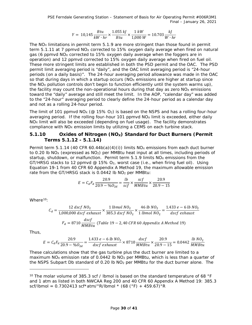PSE Ferndale Generating Station – Statement of Basis for Air Operating Permit #006R3M1 Final – January 26, 2021

$$
Y = 10,145 \frac{Btu}{kW \cdot hr} \times \frac{1.055 \, kJ}{Btu} \times \frac{1 \, kW}{1,000 \, W} = 10.703 \frac{kJ}{W \cdot hr}
$$

The NO<sub>x</sub> limitations in permit term 5.1.9 are more stringent than those found in permit term 5.1.11 at 7 ppmvd NO<sub>x</sub> corrected to 15% oxygen daily average when fired on natural gas (6 ppmvd NO<sub>x</sub> corrected to 15% oxygen daily average when the foggers are in operation) and 12 ppmvd corrected to 15% oxygen daily average when fired on fuel oil. These more stringent limits are established in both the PSD permit and the OAC. The PSD permit limit averaging period is "daily", and the OAC limit averaging period is "24-hour periods (on a daily basis)". The 24-hour averaging period allowance was made in the OAC so that during days in which a startup occurs ( $NO<sub>x</sub>$  emissions are higher at startup since the  $NO<sub>X</sub>$  pollution controls don't begin to function efficiently until the system warms up), the facility may count the non-operational hours during that day as zero  $NO<sub>x</sub>$  emissions toward the "daily" average and still meet the limit. In the AOP, "calendar day" was added to the "24-hour" averaging period to clearly define the 24-hour period as a calendar day and not as a rolling 24-hour period.

The limit of 101 ppmvd NO<sub>X</sub> (@ 15% O<sub>2</sub>) is based on the NSPS and has a rolling four-hour averaging period. If the rolling four-hour 101 ppmvd  $NO<sub>X</sub>$  limit is exceeded, either daily  $NO<sub>x</sub>$  limit will also be exceeded (depending on fuel usage). The facility demonstrates compliance with NO<sub>x</sub> emission limits by utilizing a CEMS on each turbine stack.

#### 5.1.10 **COXIDES OF Nitrogen (NO<sub>X</sub>) Standard for Duct Burners (Permit <b>by Terms 5.1.12 - 5.1.14)**

Permit term 5.1.14 (40 CFR 60.44b(a)(4)(i)) limits  $NO_x$  emissions from each duct burner to 0.20 lb NO<sub>x</sub> (expressed as NO<sub>2</sub>) per MMBtu heat input at all times, including periods of startup, shutdown, or malfunction. Permit term  $5.1.9$  limits NO<sub>x</sub> emissions from the GT/HRSG stacks to 12 ppmvd @ 15%  $O_2$ , worst case (i.e., when firing fuel oil). Using Equation 19-1 from 40 CFR 60 Appendix A Method 19, the maximum allowable emission rate from the GT/HRSG stack is 0.0442 lb NO2 per MMBtu:

$$
E = C_d F_d \frac{20.9}{20.9 - \%O_{2d}} = \frac{lb}{scf} \times \frac{scf}{MMBtu} \times \frac{20.9}{20.9 - 15}
$$

Where $10$ :

$$
C_d = \frac{12 \, dscf \, NO_2}{1,000,000 \, dscf \, exhaust} \times \frac{1 \, lbmol \, NO_2}{385.3 \, dscf \, NO_2} \times \frac{46 \, lb \, NO_2}{1 \, lbmol \, NO_2} = \frac{1.433 \, e - 6 \, lb \, NO_2}{dscf \, exhaust}
$$
\n
$$
F_d = 8710 \, \frac{dscf}{MMBtu} \, (Table \, 19 - 2,40 \, CFR \, 60 \, Appendix \, A \, Method \, 19)
$$

Thus,

ł

$$
E = C_d F_d \frac{20.9}{20.9 - \% O_{2d}} = \frac{1.433 e - 6 lb N O_2}{dscf \; exhaust} \times 8710 \frac{dscf}{MMBtu} \times \frac{20.9}{20.9 - 15} = 0.0442 \; \frac{lb \; N O_2}{MMBtu}
$$

These calculations show that the gas turbine plus the duct burner are limited to a maximum NO<sub>x</sub> emission rate of 0.0442 lb NO<sub>2</sub> per MMBtu, which is less than a quarter of the NSPS Subpart Db standard of 0.20 lb NO2 per MMBtu for the duct burner alone. The

<span id="page-33-0"></span><sup>&</sup>lt;sup>10</sup> The molar volume of 385.3 scf / lbmol is based on the standard temperature of 68 °F and 1 atm as listed in both NWCAA Reg 200 and 40 CFR 60 Appendix A Method 19: 385.3 scf/lbmol = 0.7302413 scf\*atm/°R/lbmol \* (68 (°F) + 459.67)°R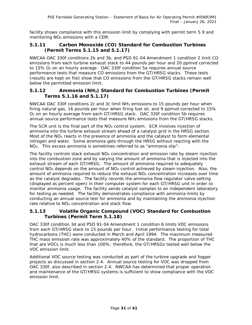facility shows compliance with this emission limit by complying with permit term 5.9 and monitoring NO<sub>x</sub> emissions with a CEM.

#### **5.1.11 Carbon Monoxide (CO) Standard for Combustion Turbines (Permit Terms 5.1.15 and 5.1.17)**

NWCAA OAC 330f conditions 2b and 3b, and PSD 91-04 Amendment 1 condition 2 limit CO emissions from each turbine exhaust stack to 44 pounds per hour and 20 ppmvd corrected to 15% O<sup>2</sup> on an hourly average. OAC 330f condition 5a requires annual source performance tests that measure CO emissions from the GT/HRSG stacks. These tests (results are kept on file) show that CO emissions from the GT/HRSG stacks remain well below the permitted emission limit.

#### **5.1.12 Ammonia (NH3) Standard for Combustion Turbines (Permit Terms 5.1.16 and 5.1.17)**

NWCAA OAC 330f conditions 2c and 3c limit NH3 emissions to 15 pounds per hour when firing natural gas, 16 pounds per hour when firing fuel oil, and 9 ppmvd corrected to 15% O2 on an hourly average from each GT/HRSG stack. OAC 330f condition 5b requires annual source performance tests that measure NH3 emissions from the GT/HRSG stacks.

The SCR unit is the final part of the  $NO<sub>X</sub>$  control system. SCR involves injection of ammonia into the turbine exhaust stream ahead of a catalyst grid in the HRSG section. Most of the  $NO<sub>x</sub>$  reacts in the presence of ammonia and the catalyst to form elemental nitrogen and water. Some ammonia gets through the HRSG without reacting with the NO<sub>x</sub>. This excess ammonia is sometimes referred to as "ammonia slip".

The facility controls stack exhaust  $NO_X$  concentration and emission rate by steam injection into the combustion zone and by varying the amount of ammonia that is injected into the exhaust stream of each GT/HRSG. The amount of ammonia required to adequately control  $NO<sub>x</sub>$  depends on the amount of  $NO<sub>x</sub>$  control achieved by steam injection. Also, the amount of ammonia required to reduce the exhaust  $NO<sub>x</sub>$  concentration increases over time as the catalyst degrades. The facility records the ammonia flow regulator valve setting (displayed as percent open) in their computer system for each GT/HRSG unit in order to monitor ammonia usage. The facility sends catalyst samples to an independent laboratory for testing as needed. The facility demonstrates compliance with ammonia limits by conducting an annual source test for ammonia and by maintaining the ammonia injection rate relative to  $NO<sub>x</sub>$  concentration and stack flow.

#### **5.1.13 Volatile Organic Compound (VOC) Standard for Combustion Turbines (Permit Term 5.1.18)**

OAC 330f condition 3d and PSD 91-04 Amendment 1 condition 6 limits VOC emissions from each GT/HRSG stack to 15 pounds per hour. Initial performance testing for total hydrocarbons (THC) were conducted in March and April 1994. The maximum measured THC mass emission rate was approximately 40% of the standard. The proportion of THC that are VOCs is much less than 100%; therefore, the GT/HRSGs tested well below the VOC emission limit.

Additional VOC source testing was conducted as part of the turbine upgrade and fogger projects as discussed in section [2.4.](#page-12-0) Annual source testing for VOC was dropped from OAC 330f, also described in section [2.4.](#page-12-0) NWCAA has determined that proper operation and maintenance of the GT/HRSG systems is sufficient to show compliance with the VOC emission limit.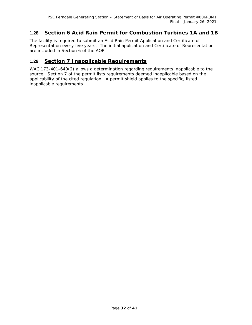## **1.28 Section 6 Acid Rain Permit for Combustion Turbines 1A and 1B**

The facility is required to submit an Acid Rain Permit Application and Certificate of Representation every five years. The initial application and Certificate of Representation are included in Section 6 of the AOP.

## **1.29 Section 7 Inapplicable Requirements**

WAC 173-401-640(2) allows a determination regarding requirements inapplicable to the source. Section 7 of the permit lists requirements deemed inapplicable based on the applicability of the cited regulation. A permit shield applies to the specific, listed inapplicable requirements.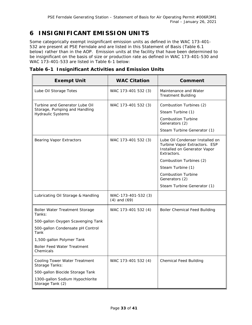# **6 INSIGNIFICANT EMISSION UNITS**

Some categorically exempt insignificant emission units as defined in the WAC 173-401- 532 are present at PSE Ferndale and are listed in this Statement of Basis (Table 6.1 below) rather than in the AOP. Emission units at the facility that have been determined to be insignificant on the basis of size or production rate as defined in WAC 173-401-530 and WAC 173-401-533 are listed in Table 6-1 below:

| <b>Exempt Unit</b>                                                                          | <b>WAC Citation</b>                     | Comment                                                                                                                    |
|---------------------------------------------------------------------------------------------|-----------------------------------------|----------------------------------------------------------------------------------------------------------------------------|
| Lube Oil Storage Totes                                                                      | WAC 173-401 532 (3)                     | Maintenance and Water<br><b>Treatment Building</b>                                                                         |
| Turbine and Generator Lube Oil<br>Storage, Pumping and Handling<br><b>Hydraulic Systems</b> | WAC 173-401 532 (3)                     | Combustion Turbines (2)<br>Steam Turbine (1)<br><b>Combustion Turbine</b><br>Generators (2)<br>Steam Turbine Generator (1) |
| <b>Bearing Vapor Extractors</b>                                                             | WAC 173-401 532 (3)                     | Lube Oil Condenser Installed on<br>Turbine Vapor Extractors. ESP<br>Installed on Generator Vapor<br>Extractors.            |
|                                                                                             |                                         | Combustion Turbines (2)                                                                                                    |
|                                                                                             |                                         | Steam Turbine (1)                                                                                                          |
|                                                                                             |                                         | <b>Combustion Turbine</b><br>Generators (2)                                                                                |
|                                                                                             |                                         | Steam Turbine Generator (1)                                                                                                |
| Lubricating Oil Storage & Handling                                                          | WAC-173-401-532 (3)<br>$(4)$ and $(69)$ |                                                                                                                            |
| Boiler Water Treatment Storage<br>Tanks:                                                    | WAC 173-401 532 (4)                     | <b>Boiler Chemical Feed Building</b>                                                                                       |
| 500-gallon Oxygen Scavenging Tank                                                           |                                         |                                                                                                                            |
| 500-gallon Condensate pH Control<br>Tank                                                    |                                         |                                                                                                                            |
| 1,500-gallon Polymer Tank                                                                   |                                         |                                                                                                                            |
| <b>Boiler Feed Water Treatment</b><br>Chemicals                                             |                                         |                                                                                                                            |
| Cooling Tower Water Treatment<br>Storage Tanks:                                             | WAC 173-401 532 (4)                     | <b>Chemical Feed Building</b>                                                                                              |
| 500-gallon Biocide Storage Tank                                                             |                                         |                                                                                                                            |
| 1300-gallon Sodium Hypochlorite<br>Storage Tank (2)                                         |                                         |                                                                                                                            |

**Table 6-1 Insignificant Activities and Emission Units**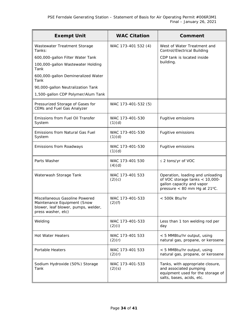| <b>Exempt Unit</b>                                                                                                         | <b>WAC Citation</b>       | Comment                                                                                                                         |
|----------------------------------------------------------------------------------------------------------------------------|---------------------------|---------------------------------------------------------------------------------------------------------------------------------|
| Wastewater Treatment Storage<br>Tanks:                                                                                     | WAC 173-401 532 (4)       | West of Water Treatment and<br>Control/Electrical Building                                                                      |
| 600,000-gallon Filter Water Tank                                                                                           |                           | CDP tank is located inside                                                                                                      |
| 100,000-gallon Wastewater Holding<br>Tank                                                                                  |                           | building.                                                                                                                       |
| 600,000-gallon Demineralized Water<br>Tank                                                                                 |                           |                                                                                                                                 |
| 90,000-gallon Neutralization Tank                                                                                          |                           |                                                                                                                                 |
| 1,500-gallon CDP Polymer/Alum Tank                                                                                         |                           |                                                                                                                                 |
| Pressurized Storage of Gases for<br>CEMs and Fuel Gas Analyzer                                                             | WAC 173-401-532 (5)       |                                                                                                                                 |
| Emissions from Fuel Oil Transfer<br>System                                                                                 | WAC 173-401-530<br>(1)(d) | Fugitive emissions                                                                                                              |
| Emissions from Natural Gas Fuel<br>System                                                                                  | WAC 173-401-530<br>(1)(d) | Fugitive emissions                                                                                                              |
| Emissions from Roadways                                                                                                    | WAC 173-401-530<br>(1)(d) | Fugitive emissions                                                                                                              |
| Parts Washer                                                                                                               | WAC 173-401 530<br>(4)(d) | $\leq$ 2 tons/yr of VOC                                                                                                         |
| Waterwash Storage Tank                                                                                                     | WAC 173-401 533<br>(2)(c) | Operation, loading and unloading<br>of VOC storage tanks < 10,000-<br>gallon capacity and vapor<br>pressure < 80 mm Hg at 21°C. |
| Miscellaneous Gasoline Powered<br>Maintenance Equipment (Snow<br>blower, leaf blower, pumps, welder,<br>press washer, etc) | WAC 173-401-533<br>(2)(f) | $<$ 500 $k$ Btu/hr                                                                                                              |
| Welding                                                                                                                    | WAC 173-401-533<br>(2)(i) | Less than 1 ton welding rod per<br>day                                                                                          |
| <b>Hot Water Heaters</b>                                                                                                   | WAC 173-401 533<br>(2)(r) | < 5 MMBtu/hr output, using<br>natural gas, propane, or kerosene                                                                 |
| <b>Portable Heaters</b>                                                                                                    | WAC 173-401 533<br>(2)(r) | < 5 MMBtu/hr output, using<br>natural gas, propane, or kerosene                                                                 |
| Sodium Hydroxide (50%) Storage<br>Tank                                                                                     | WAC 173-401-533<br>(2)(s) | Tanks, with appropriate closure,<br>and associated pumping<br>equipment used for the storage of<br>salts, bases, acids, etc.    |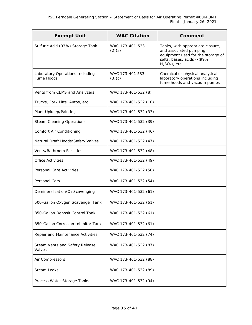| <b>Exempt Unit</b>                            | <b>WAC Citation</b>       | Comment                                                                                                                                         |
|-----------------------------------------------|---------------------------|-------------------------------------------------------------------------------------------------------------------------------------------------|
| Sulfuric Acid (93%) Storage Tank              | WAC 173-401-533<br>(2)(s) | Tanks, with appropriate closure,<br>and associated pumping<br>equipment used for the storage of<br>salts, bases, acids (<99%<br>$H2SO4$ ), etc. |
| Laboratory Operations Including<br>Fume Hoods | WAC 173-401 533<br>(3)(c) | Chemical or physical analytical<br>laboratory operations including<br>fume hoods and vacuum pumps                                               |
| Vents from CEMS and Analyzers                 | WAC 173-401-532 (8)       |                                                                                                                                                 |
| Trucks, Fork Lifts, Autos, etc.               | WAC 173-401-532 (10)      |                                                                                                                                                 |
| Plant Upkeep/Painting                         | WAC 173-401-532 (33)      |                                                                                                                                                 |
| <b>Steam Cleaning Operations</b>              | WAC 173-401-532 (39)      |                                                                                                                                                 |
| Comfort Air Conditioning                      | WAC 173-401-532 (46)      |                                                                                                                                                 |
| Natural Draft Hoods/Safety Valves             | WAC 173-401-532 (47)      |                                                                                                                                                 |
| Vents/Bathroom Facilities                     | WAC 173-401-532 (48)      |                                                                                                                                                 |
| <b>Office Activities</b>                      | WAC 173-401-532 (49)      |                                                                                                                                                 |
| Personal Care Activities                      | WAC 173-401-532 (50)      |                                                                                                                                                 |
| Personal Cars                                 | WAC 173-401-532 (54)      |                                                                                                                                                 |
| Demineralization/O <sub>2</sub> Scavenging    | WAC 173-401-532 (61)      |                                                                                                                                                 |
| 500-Gallon Oxygen Scavenger Tank              | WAC 173-401-532 (61)      |                                                                                                                                                 |
| 850-Gallon Deposit Control Tank               | WAC 173-401-532 (61)      |                                                                                                                                                 |
| 850-Gallon Corrosion Inhibitor Tank           | WAC 173-401-532 (61)      |                                                                                                                                                 |
| Repair and Maintenance Activities             | WAC 173-401-532 (74)      |                                                                                                                                                 |
| Steam Vents and Safety Release<br>Valves      | WAC 173-401-532 (87)      |                                                                                                                                                 |
| Air Compressors                               | WAC 173-401-532 (88)      |                                                                                                                                                 |
| <b>Steam Leaks</b>                            | WAC 173-401-532 (89)      |                                                                                                                                                 |
| Process Water Storage Tanks                   | WAC 173-401-532 (94)      |                                                                                                                                                 |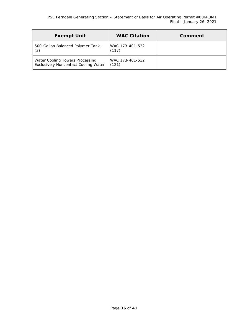| <b>Exempt Unit</b>                                                      | <b>WAC Citation</b>      | Comment |
|-------------------------------------------------------------------------|--------------------------|---------|
| 500-Gallon Balanced Polymer Tank -<br>$\parallel$ (3)                   | WAC 173-401-532<br>(117) |         |
| Water Cooling Towers Processing<br>Exclusively Noncontact Cooling Water | WAC 173-401-532<br>(121) |         |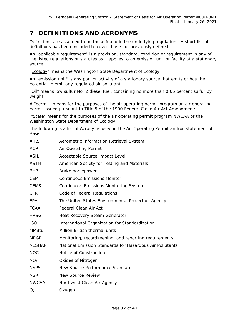# **7 DEFINITIONS AND ACRONYMS**

Definitions are assumed to be those found in the underlying regulation. A short list of definitions has been included to cover those not previously defined.

An "applicable requirement" is a provision, standard, condition or requirement in any of the listed regulations or statutes as it applies to an emission unit or facility at a stationary source.

"Ecology" means the Washington State Department of Ecology.

An "emission unit" is any part or activity of a stationary source that emits or has the potential to emit any regulated air pollutant.

"Oil" means low sulfur No. 2 diesel fuel, containing no more than 0.05 percent sulfur by weight.

A "permit" means for the purposes of the air operating permit program an air operating permit issued pursuant to Title 5 of the 1990 Federal Clean Air Act Amendments.

"State" means for the purposes of the air operating permit program NWCAA or the Washington State Department of Ecology.

The following is a list of Acronyms used in the Air Operating Permit and/or Statement of Basis:

| <b>AIRS</b>     | Aerometric Information Retrieval System                  |
|-----------------|----------------------------------------------------------|
| AOP             | Air Operating Permit                                     |
| <b>ASIL</b>     | Acceptable Source Impact Level                           |
| <b>ASTM</b>     | American Society for Testing and Materials               |
| <b>BHP</b>      | Brake horsepower                                         |
| <b>CEM</b>      | <b>Continuous Emissions Monitor</b>                      |
| <b>CEMS</b>     | <b>Continuous Emissions Monitoring System</b>            |
| <b>CFR</b>      | Code of Federal Regulations                              |
| EPA             | The United States Environmental Protection Agency        |
| <b>FCAA</b>     | Federal Clean Air Act                                    |
| <b>HRSG</b>     | Heat Recovery Steam Generator                            |
| <b>ISO</b>      | International Organization for Standardization           |
| <b>MMBtu</b>    | Million British thermal units                            |
| MR&R            | Monitoring, recordkeeping, and reporting requirements    |
| <b>NESHAP</b>   | National Emission Standards for Hazardous Air Pollutants |
| <b>NOC</b>      | Notice of Construction                                   |
| NO <sub>X</sub> | Oxides of Nitrogen                                       |
| <b>NSPS</b>     | New Source Performance Standard                          |
| <b>NSR</b>      | <b>New Source Review</b>                                 |
| <b>NWCAA</b>    | Northwest Clean Air Agency                               |
| O <sub>2</sub>  | Oxygen                                                   |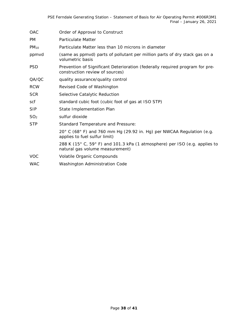| <b>OAC</b>      | Order of Approval to Construct                                                                                  |
|-----------------|-----------------------------------------------------------------------------------------------------------------|
| PM.             | <b>Particulate Matter</b>                                                                                       |
| $PM_{10}$       | Particulate Matter less than 10 microns in diameter                                                             |
| ppmvd           | (same as ppmvd) parts of pollutant per million parts of dry stack gas on a<br>volumetric basis                  |
| <b>PSD</b>      | Prevention of Significant Deterioration (federally required program for pre-<br>construction review of sources) |
| QA/QC           | quality assurance/quality control                                                                               |
| <b>RCW</b>      | Revised Code of Washington                                                                                      |
| <b>SCR</b>      | Selective Catalytic Reduction                                                                                   |
| scf             | standard cubic foot (cubic foot of gas at ISO STP)                                                              |
| <b>SIP</b>      | State Implementation Plan                                                                                       |
| SO <sub>2</sub> | sulfur dioxide                                                                                                  |
| <b>STP</b>      | Standard Temperature and Pressure:                                                                              |
|                 | $20^{\circ}$ C (68° F) and 760 mm Hg (29.92 in. Hg) per NWCAA Regulation (e.g.<br>applies to fuel sulfur limit) |
|                 | 288 K (15° C, 59° F) and 101.3 kPa (1 atmosphere) per ISO (e.g. applies to<br>natural gas volume measurement)   |
| <b>VOC</b>      | Volatile Organic Compounds                                                                                      |
| <b>WAC</b>      | Washington Administration Code                                                                                  |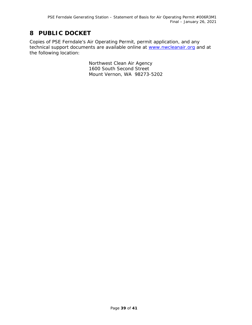# **8 PUBLIC DOCKET**

Copies of PSE Ferndale's Air Operating Permit, permit application, and any technical support documents are available online at [www.nwcleanair.org](http://www.nwcleanair.org/) and at the following location:

> Northwest Clean Air Agency 1600 South Second Street Mount Vernon, WA 98273-5202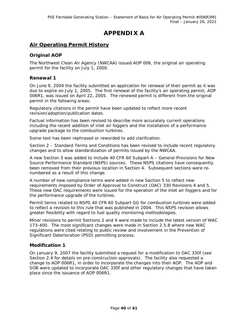# **APPENDIX A**

# **Air Operating Permit History**

#### **Original AOP**

The Northwest Clean Air Agency (NWCAA) issued AOP 006, the original air operating permit for the facility on July 1, 2000.

#### **Renewal 1**

On June 9, 2004 the facility submitted an application for renewal of their permit as it was due to expire on July 1, 2005. The first renewal of the facility's air operating permit, AOP 006R1, was issued on April 22, 2005. The renewed permit is different from the original permit in the following areas:

Regulatory citations in the permit have been updated to reflect more recent revision/adoption/publication dates.

Factual information has been revised to describe more accurately current operations including the recent addition of inlet air foggers and the installation of a performance upgrade package to the combustion turbines.

Some text has been rephrased or reworded to add clarification.

Section 2 – Standard Terms and Conditions has been revised to include recent regulatory changes and to allow standardization of permits issued by the NWCAA.

A new Section 3 was added to include 40 CFR 60 Subpart A – General Provisions for New Source Performance Standard (NSPS) sources. These NSPS citations have consequently been removed from their previous location in Section 4. Subsequent sections were renumbered as a result of this change.

A number of new compliance terms were added in new Section 5 to reflect new requirements imposed by Order of Approval to Construct (OAC) 330 Revisions 4 and 5. These new OAC requirements were issued for the operation of the inlet air foggers and for the performance upgrade of the turbines.

Permit terms related to NSPS 40 CFR 60 Subpart GG for combustion turbines were added to reflect a revision to this rule that was published in 2004. This NSPS revision allows greater flexibility with regard to fuel quality monitoring methodologies.

Minor revisions to permit Sections 2 and 4 were made to include the latest version of WAC 173-400. The most significant changes were made in Section 2.5.8 where new WAC regulations were cited relating to public review and involvement in the Prevention of Significant Deterioration (PSD) permitting process.

#### **Modification 1**

On January 9, 2007 the facility submitted a request for a modification to OAC 330f (see Section [2.4](#page-12-0) for details on pre-construction approvals). The facility also requested a change to AOP 006R1, in order to incorporate the changes into their AOP. The AOP and SOB were updated to incorporate OAC 330f and other regulatory changes that have taken place since the issuance of AOP 006R1.